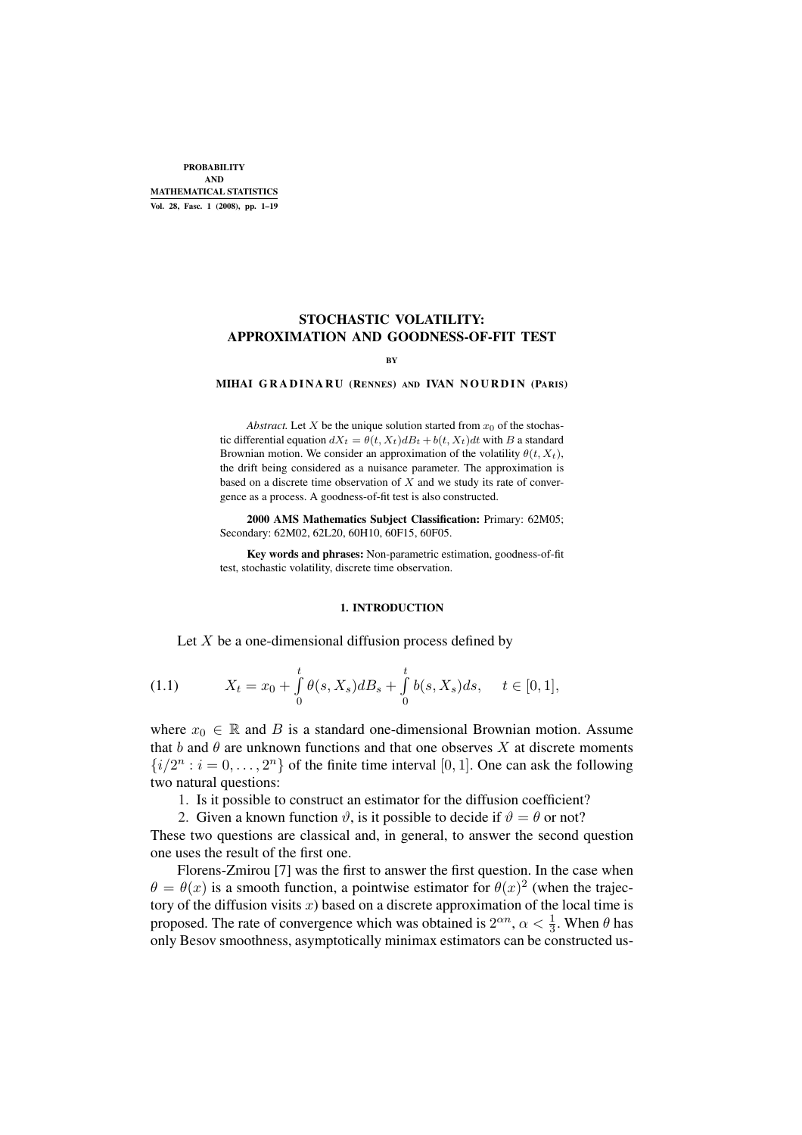PROBABILITY AND MATHEMATICAL STATISTICS Vol. 28, Fasc. 1 (2008), pp. 1–19

# STOCHASTIC VOLATILITY: APPROXIMATION AND GOODNESS-OF-FIT TEST

#### BY

#### MIHAI GRADINARU (RENNES) AND IVAN NOURDIN (PARIS)

*Abstract.* Let X be the unique solution started from  $x_0$  of the stochastic differential equation  $dX_t = \theta(t, X_t)dB_t + b(t, X_t)dt$  with B a standard Brownian motion. We consider an approximation of the volatility  $\theta(t, X_t)$ , the drift being considered as a nuisance parameter. The approximation is based on a discrete time observation of  $X$  and we study its rate of convergence as a process. A goodness-of-fit test is also constructed.

2000 AMS Mathematics Subject Classification: Primary: 62M05; Secondary: 62M02, 62L20, 60H10, 60F15, 60F05.

Key words and phrases: Non-parametric estimation, goodness-of-fit test, stochastic volatility, discrete time observation.

#### 1. INTRODUCTION

Let  $X$  be a one-dimensional diffusion process defined by

(1.1) 
$$
X_t = x_0 + \int_0^t \theta(s, X_s) dB_s + \int_0^t b(s, X_s) ds, \quad t \in [0, 1],
$$

where  $x_0 \in \mathbb{R}$  and B is a standard one-dimensional Brownian motion. Assume that b and  $\theta$  are unknown functions and that one observes X at discrete moments  $\{i/2^n : i = 0, \ldots, 2^n\}$  of the finite time interval [0, 1]. One can ask the following two natural questions:

1. Is it possible to construct an estimator for the diffusion coefficient?

2. Given a known function  $\vartheta$ , is it possible to decide if  $\vartheta = \theta$  or not?

These two questions are classical and, in general, to answer the second question one uses the result of the first one.

Florens-Zmirou [7] was the first to answer the first question. In the case when  $\theta = \theta(x)$  is a smooth function, a pointwise estimator for  $\theta(x)^2$  (when the trajectory of the diffusion visits  $x$ ) based on a discrete approximation of the local time is proposed. The rate of convergence which was obtained is  $2^{\alpha n}$ ,  $\alpha < \frac{1}{3}$ . When  $\theta$  has only Besov smoothness, asymptotically minimax estimators can be constructed us-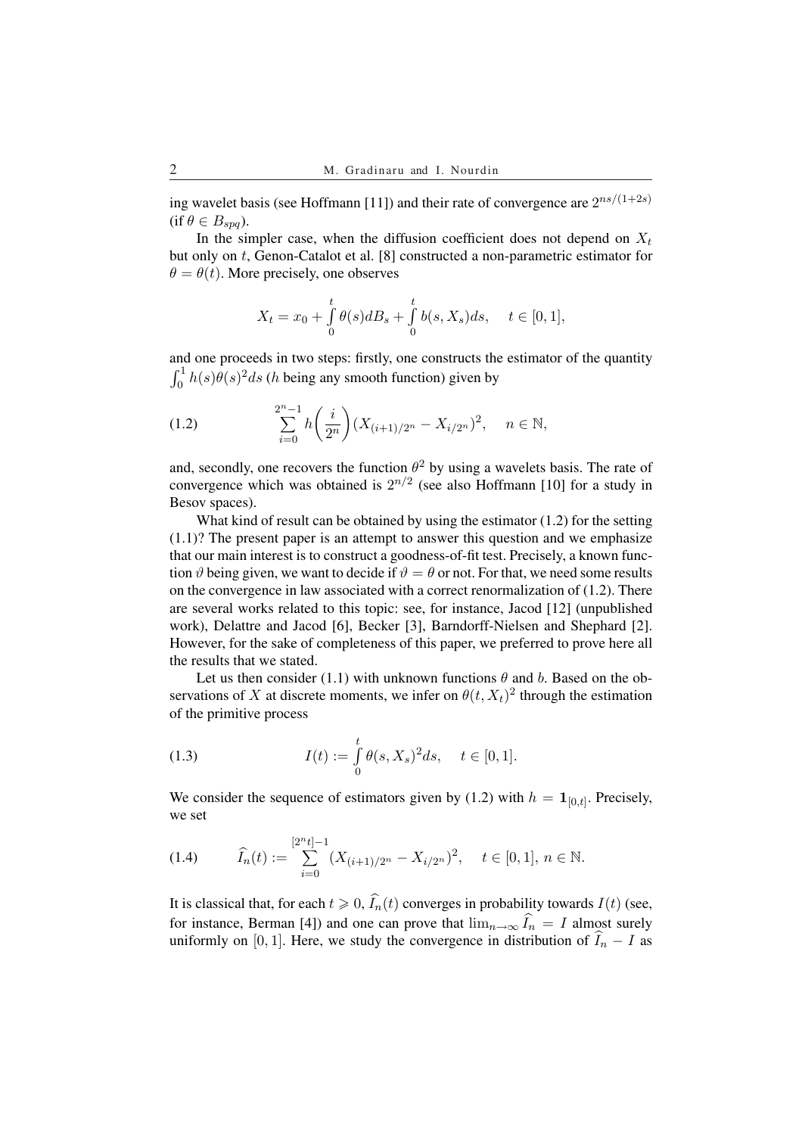ing wavelet basis (see Hoffmann [11]) and their rate of convergence are  $2^{ns/(1+2s)}$  $(if \theta \in B_{spa}).$ 

In the simpler case, when the diffusion coefficient does not depend on  $X_t$ but only on t, Genon-Catalot et al. [8] constructed a non-parametric estimator for  $\theta = \theta(t)$ . More precisely, one observes

$$
X_t=x_0+\smallint_0^t\theta(s)dB_s+\smallint_0^t b(s,X_s)ds,\quad \ t\in[0,1],
$$

and one proceeds in two steps: firstly, one constructs the estimator of the quantity and<br>1  $\int_0^1 h(s)\theta(s)^2 ds$  (*h* being any smooth function) given by

(1.2) 
$$
\sum_{i=0}^{2^n-1} h\bigg(\frac{i}{2^n}\bigg) (X_{(i+1)/2^n} - X_{i/2^n})^2, \quad n \in \mathbb{N},
$$

and, secondly, one recovers the function  $\theta^2$  by using a wavelets basis. The rate of convergence which was obtained is  $2^{n/2}$  (see also Hoffmann [10] for a study in Besov spaces).

What kind of result can be obtained by using the estimator (1.2) for the setting (1.1)? The present paper is an attempt to answer this question and we emphasize that our main interest is to construct a goodness-of-fit test. Precisely, a known function  $\vartheta$  being given, we want to decide if  $\vartheta = \theta$  or not. For that, we need some results on the convergence in law associated with a correct renormalization of (1.2). There are several works related to this topic: see, for instance, Jacod [12] (unpublished work), Delattre and Jacod [6], Becker [3], Barndorff-Nielsen and Shephard [2]. However, for the sake of completeness of this paper, we preferred to prove here all the results that we stated.

Let us then consider (1.1) with unknown functions  $\theta$  and b. Based on the observations of X at discrete moments, we infer on  $\theta(t, X_t)^2$  through the estimation of the primitive process

(1.3) 
$$
I(t) := \int_{0}^{t} \theta(s, X_s)^2 ds, \quad t \in [0, 1].
$$

We consider the sequence of estimators given by (1.2) with  $h = \mathbf{1}_{[0,t]}$ . Precisely, we set

$$
(1.4) \qquad \widehat{I}_n(t) := \sum_{i=0}^{[2^n t]-1} (X_{(i+1)/2^n} - X_{i/2^n})^2, \quad t \in [0,1], \, n \in \mathbb{N}.
$$

It is classical that, for each  $t \geq 0$ ,  $\widehat{I}_n(t)$  converges in probability towards  $I(t)$  (see, for instance, Berman [4]) and one can prove that  $\lim_{n\to\infty} \hat{I}_n = I$  almost surely uniformly on [0, 1]. Here, we study the convergence in distribution of  $\widehat{I}_n - I$  as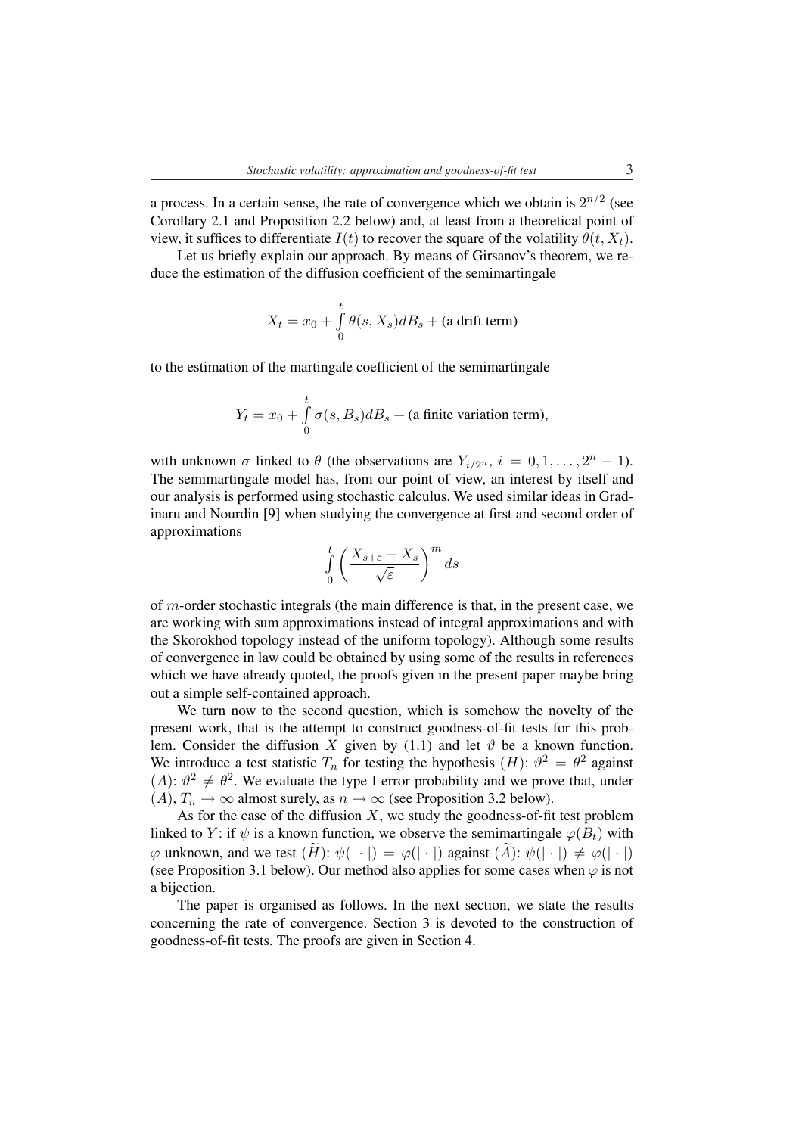a process. In a certain sense, the rate of convergence which we obtain is  $2^{n/2}$  (see Corollary 2.1 and Proposition 2.2 below) and, at least from a theoretical point of view, it suffices to differentiate  $I(t)$  to recover the square of the volatility  $\theta(t, X_t)$ .

Let us briefly explain our approach. By means of Girsanov's theorem, we reduce the estimation of the diffusion coefficient of the semimartingale

$$
X_t = x_0 + \int_0^t \theta(s, X_s) dB_s + \text{(a drift term)}
$$

to the estimation of the martingale coefficient of the semimartingale

$$
Y_t = x_0 + \int_0^t \sigma(s, B_s) dB_s + \text{(a finite variation term)},
$$

with unknown  $\sigma$  linked to  $\theta$  (the observations are  $Y_{i/2^n}$ ,  $i = 0, 1, ..., 2^n - 1$ ). The semimartingale model has, from our point of view, an interest by itself and our analysis is performed using stochastic calculus. We used similar ideas in Gradinaru and Nourdin [9] when studying the convergence at first and second order of approximations

$$
\int_{0}^{t} \left( \frac{X_{s+\varepsilon} - X_s}{\sqrt{\varepsilon}} \right)^m ds
$$

of m-order stochastic integrals (the main difference is that, in the present case, we are working with sum approximations instead of integral approximations and with the Skorokhod topology instead of the uniform topology). Although some results of convergence in law could be obtained by using some of the results in references which we have already quoted, the proofs given in the present paper maybe bring out a simple self-contained approach.

We turn now to the second question, which is somehow the novelty of the present work, that is the attempt to construct goodness-of-fit tests for this problem. Consider the diffusion X given by (1.1) and let  $\vartheta$  be a known function. We introduce a test statistic  $T_n$  for testing the hypothesis  $(H)$ :  $\vartheta^2 = \theta^2$  against (A):  $\vartheta^2 \neq \vartheta^2$ . We evaluate the type I error probability and we prove that, under  $(A)$ ,  $T_n \to \infty$  almost surely, as  $n \to \infty$  (see Proposition 3.2 below).

As for the case of the diffusion  $X$ , we study the goodness-of-fit test problem linked to Y: if  $\psi$  is a known function, we observe the semimartingale  $\varphi(B_t)$  with  $\varphi$  unknown, and we test  $(\widetilde{H})$ :  $\psi(|\cdot|) = \varphi(|\cdot|)$  against  $(\widetilde{A})$ :  $\psi(|\cdot|) \neq \varphi(|\cdot|)$ (see Proposition 3.1 below). Our method also applies for some cases when  $\varphi$  is not a bijection.

The paper is organised as follows. In the next section, we state the results concerning the rate of convergence. Section 3 is devoted to the construction of goodness-of-fit tests. The proofs are given in Section 4.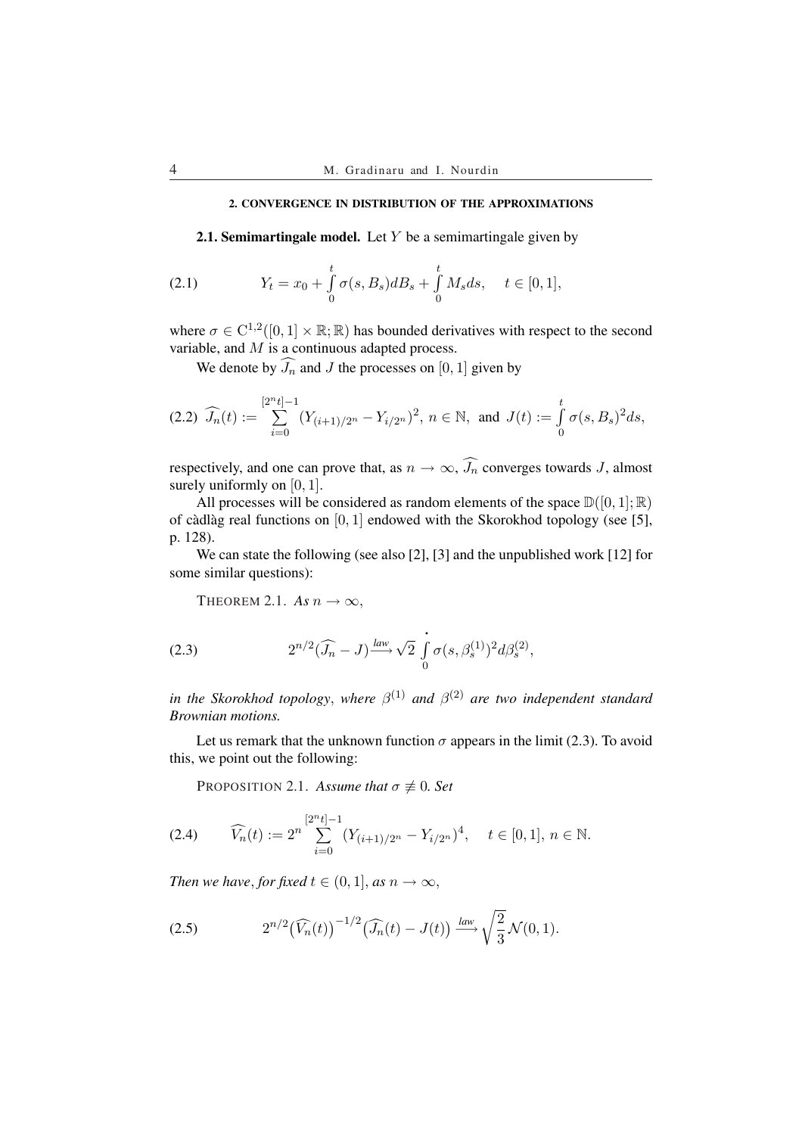## 2. CONVERGENCE IN DISTRIBUTION OF THE APPROXIMATIONS

**2.1. Semimartingale model.** Let  $Y$  be a semimartingale given by

(2.1) 
$$
Y_t = x_0 + \int_0^t \sigma(s, B_s) dB_s + \int_0^t M_s ds, \quad t \in [0, 1],
$$

where  $\sigma \in C^{1,2}([0,1] \times \mathbb{R}; \mathbb{R})$  has bounded derivatives with respect to the second variable, and  $\overline{M}$  is a continuous adapted process.

We denote by  $\widehat{J_n}$  and J the processes on [0, 1] given by

$$
(2.2) \ \widehat{J_n}(t) := \sum_{i=0}^{[2^n t]-1} (Y_{(i+1)/2^n} - Y_{i/2^n})^2, \ n \in \mathbb{N}, \text{ and } J(t) := \int_0^t \sigma(s, B_s)^2 ds,
$$

respectively, and one can prove that, as  $n \to \infty$ ,  $\widehat{J}_n$  converges towards J, almost surely uniformly on [0, 1].

All processes will be considered as random elements of the space  $\mathbb{D}([0,1];\mathbb{R})$ of càdlàg real functions on  $[0, 1]$  endowed with the Skorokhod topology (see [5], p. 128).

We can state the following (see also [2], [3] and the unpublished work [12] for some similar questions):

THEOREM 2.1. As  $n \to \infty$ ,

(2.3) 
$$
2^{n/2}(\widehat{J}_n - J) \xrightarrow{law} \sqrt{2} \int_0^1 \sigma(s, \beta_s^{(1)})^2 d\beta_s^{(2)},
$$

*in the Skorokhod topology, where*  $\beta^{(1)}$  *and*  $\beta^{(2)}$  *are two independent standard Brownian motions.*

Let us remark that the unknown function  $\sigma$  appears in the limit (2.3). To avoid this, we point out the following:

PROPOSITION 2.1. *Assume that*  $\sigma \not\equiv 0$ *. Set* 

$$
(2.4) \qquad \widehat{V_n}(t) := 2^n \sum_{i=0}^{[2^n t]-1} (Y_{(i+1)/2^n} - Y_{i/2^n})^4, \quad t \in [0,1], n \in \mathbb{N}.
$$

*Then we have, for fixed*  $t \in (0, 1]$ *, as*  $n \to \infty$ *,* 

$$
(2.5) \t2^{n/2} \left(\widehat{V_n}(t)\right)^{-1/2} \left(\widehat{J_n}(t) - J(t)\right) \xrightarrow{law} \sqrt{\frac{2}{3}} \mathcal{N}(0,1).
$$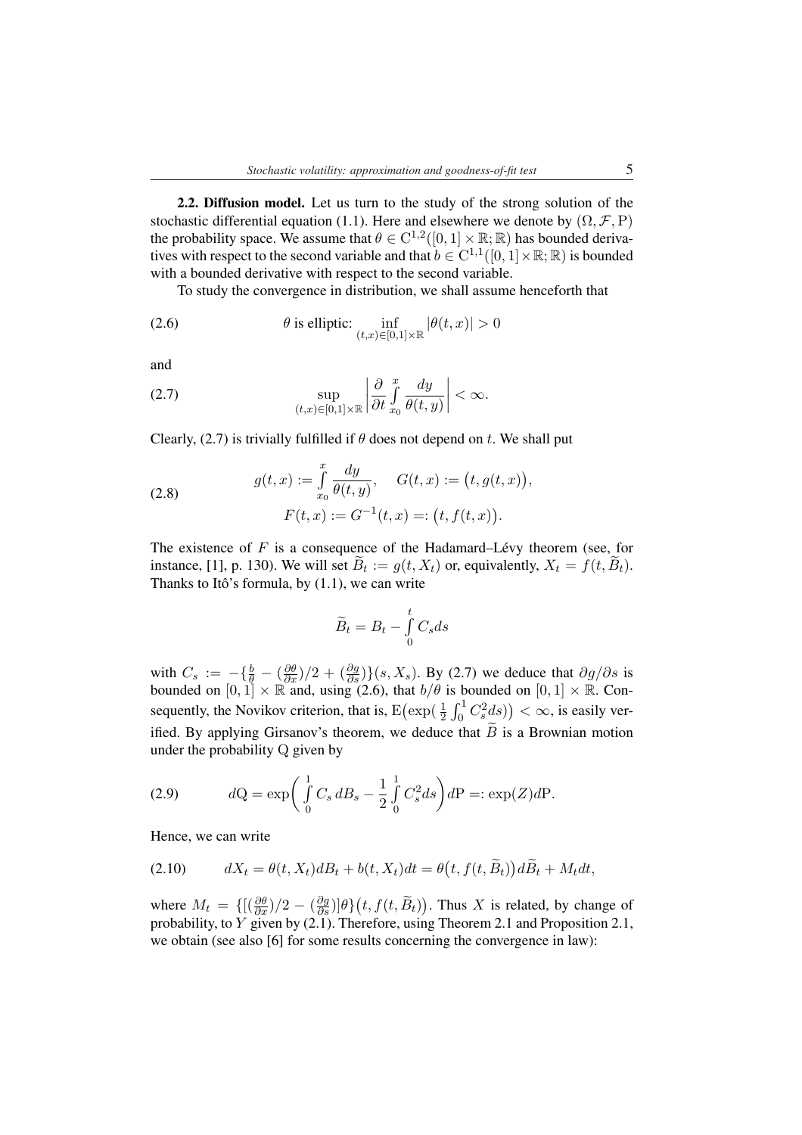2.2. Diffusion model. Let us turn to the study of the strong solution of the stochastic differential equation (1.1). Here and elsewhere we denote by  $(\Omega, \mathcal{F}, P)$ the probability space. We assume that  $\theta \in C^{1,2}([0,1] \times \mathbb{R}; \mathbb{R})$  has bounded derivatives with respect to the second variable and that  $b \in C^{1,1}([0,1] \times \mathbb{R}; \mathbb{R})$  is bounded with a bounded derivative with respect to the second variable.

To study the convergence in distribution, we shall assume henceforth that

(2.6) 
$$
\theta \text{ is elliptic: } \inf_{(t,x)\in[0,1]\times\mathbb{R}} |\theta(t,x)| > 0
$$

and

(2.7) 
$$
\sup_{(t,x)\in[0,1]\times\mathbb{R}}\left|\frac{\partial}{\partial t}\int_{x_0}^x\frac{dy}{\theta(t,y)}\right|<\infty.
$$

Clearly, (2.7) is trivially fulfilled if  $\theta$  does not depend on t. We shall put

(2.8) 
$$
g(t,x) := \int_{x_0}^{x} \frac{dy}{\theta(t,y)}, \quad G(t,x) := (t, g(t,x)),
$$

$$
F(t,x) := G^{-1}(t,x) =: (t, f(t,x)).
$$

The existence of  $F$  is a consequence of the Hadamard–Lévy theorem (see, for instance, [1], p. 130). We will set  $\widetilde{B}_t := g(t, X_t)$  or, equivalently,  $X_t = f(t, \widetilde{B}_t)$ . Thanks to Itô's formula, by  $(1.1)$ , we can write

$$
\widetilde{B}_t = B_t - \int_0^t C_s ds
$$

with  $C_s := -\{\frac{b}{\theta} - (\frac{\partial \theta}{\partial x})/2 + (\frac{\partial g}{\partial s})\}$  (s, X<sub>s</sub>). By (2.7) we deduce that  $\partial g/\partial s$  is bounded on  $[0, 1] \times \mathbb{R}$  and, using (2.6), that  $b/\theta$  is bounded on  $[0, 1] \times \mathbb{R}$ . Con-<br>**Example the Mariban site is a state of**  $\begin{bmatrix} 1 & 0 & 1 \\ 0 & 1 & 0 \end{bmatrix}$  **of the social state of the same of the same** sequently, the Novikov criterion, that is,  $E(\exp(\frac{1}{2} \int_0^1 C_s^2 ds)) < \infty$ , is easily verified. By applying Girsanov's theorem, we deduce that  $\widetilde{B}$  is a Brownian motion under the probability Q given by

(2.9) 
$$
dQ = \exp\left(\int_{0}^{1} C_s dB_s - \frac{1}{2} \int_{0}^{1} C_s^2 ds\right) dP =: \exp(Z) dP.
$$

Hence, we can write

(2.10) 
$$
dX_t = \theta(t, X_t)dB_t + b(t, X_t)dt = \theta(t, f(t, \widetilde{B}_t))d\widetilde{B}_t + M_t dt,
$$

where  $M_t = \left\{ \left[ \left( \frac{\partial \theta}{\partial x} \right) / 2 - \left( \frac{\partial g}{\partial s} \right) \right] \theta \right\}$  $(t, f(t, \tilde{B}_t))$ . Thus  $X$  is related, by change of probability, to Y given by (2.1). Therefore, using Theorem 2.1 and Proposition 2.1, we obtain (see also [6] for some results concerning the convergence in law):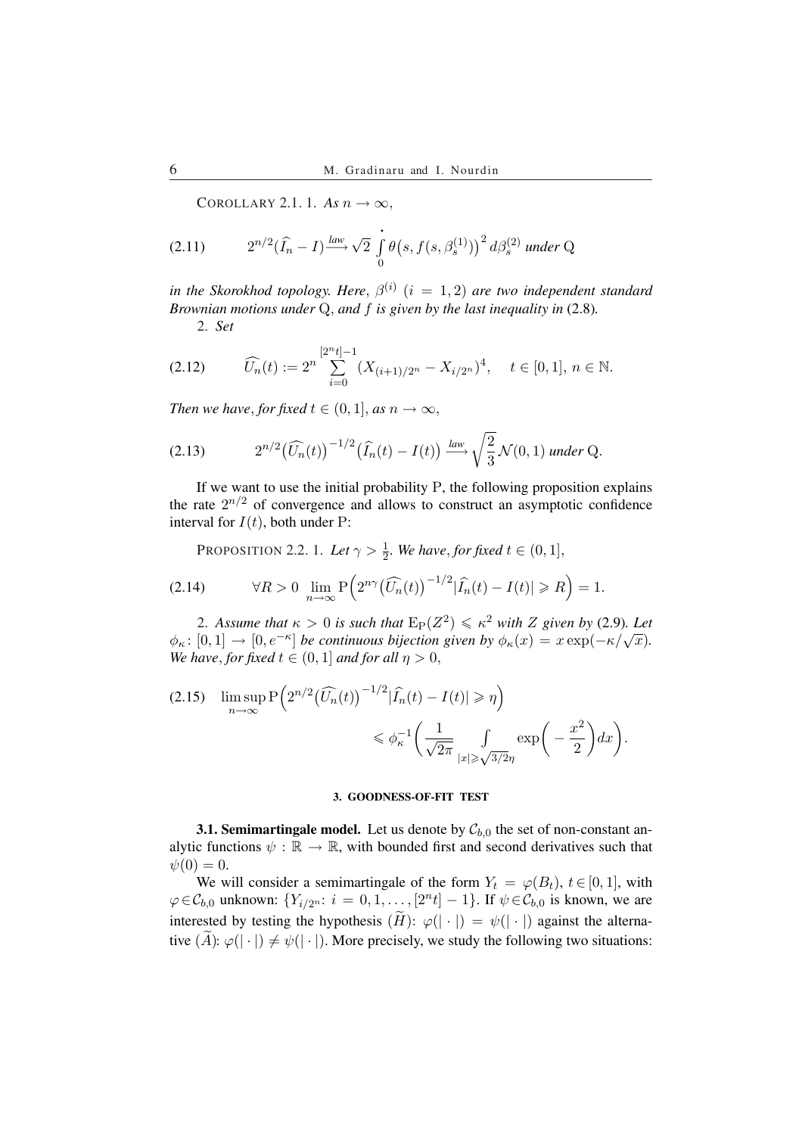COROLLARY 2.1. 1. As  $n \to \infty$ ,

(2.11) 
$$
2^{n/2}(\widehat{I}_n - I) \xrightarrow{law} \sqrt{2} \int_0^1 \theta(s, f(s, \beta_s^{(1)}))^2 d\beta_s^{(2)} \text{ under Q}
$$

*in the Skorokhod topology. Here,*  $\beta^{(i)}$   $(i = 1, 2)$  *are two independent standard Brownian motions under* Q, *and* f *is given by the last inequality in* (2.8)*.*

2. *Set*

$$
(2.12) \qquad \widehat{U_n}(t) := 2^n \sum_{i=0}^{\lfloor 2^n t \rfloor - 1} (X_{(i+1)/2^n} - X_{i/2^n})^4, \quad t \in [0, 1], n \in \mathbb{N}.
$$

*Then we have, for fixed*  $t \in (0, 1]$ *, as*  $n \to \infty$ *,* 

$$
(2.13) \t2^{n/2} \left(\widehat{U_n}(t)\right)^{-1/2} \left(\widehat{I_n}(t) - I(t)\right) \xrightarrow{law} \sqrt{\frac{2}{3}} \mathcal{N}(0,1) \text{ under Q.}
$$

If we want to use the initial probability  $P$ , the following proposition explains the rate  $2^{n/2}$  of convergence and allows to construct an asymptotic confidence interval for  $I(t)$ , both under P:

PROPOSITION 2.2. 1. Let  $\gamma > \frac{1}{2}$ . We have, for fixed  $t \in (0,1]$ ,

(2.14) 
$$
\forall R > 0 \ \lim_{n \to \infty} P\left(2^{n\gamma}(\widehat{U_n}(t))^{-1/2}|\widehat{I_n}(t) - I(t)| \ge R\right) = 1.
$$

2. Assume that  $\kappa > 0$  is such that  $E_P(Z^2) \leqslant \kappa^2$  with Z given by (2.9). Let 2. Assume that  $\kappa > 0$  is such that  $E_P(Z) \leq \kappa$  with  $Z$  given by  $(z, \theta)$ . Let  $\phi_{\kappa} : [0,1] \to [0, e^{-\kappa}]$  be continuous bijection given by  $\phi_{\kappa}(x) = x \exp(-\kappa/\sqrt{x})$ . *We have, for fixed*  $t \in (0, 1]$  *and for all*  $\eta > 0$ ,

$$
(2.15) \quad \limsup_{n \to \infty} \mathbb{P}\left(2^{n/2} \left(\widehat{U_n}(t)\right)^{-1/2} |\widehat{I_n}(t) - I(t)| \ge \eta\right) \le \phi_{\kappa}^{-1} \left(\frac{1}{\sqrt{2\pi}} \int \limits_{|x| \ge \sqrt{3/2}\eta} \exp\left(-\frac{x^2}{2}\right) dx\right).
$$

### 3. GOODNESS-OF-FIT TEST

**3.1. Semimartingale model.** Let us denote by  $C_{b,0}$  the set of non-constant analytic functions  $\psi : \mathbb{R} \to \mathbb{R}$ , with bounded first and second derivatives such that  $\psi(0) = 0.$ 

We will consider a semimartingale of the form  $Y_t = \varphi(B_t)$ ,  $t \in [0, 1]$ , with  $\varphi \in C_{b,0}$  unknown:  $\{Y_{i/2^n}: i = 0, 1, \ldots, [2^n t] - 1\}$ . If  $\psi \in C_{b,0}$  is known, we are interested by testing the hypothesis  $(H): \varphi(| \cdot |) = \psi(| \cdot |)$  against the alternative  $(A): \varphi(|\cdot|) \neq \psi(|\cdot|)$ . More precisely, we study the following two situations: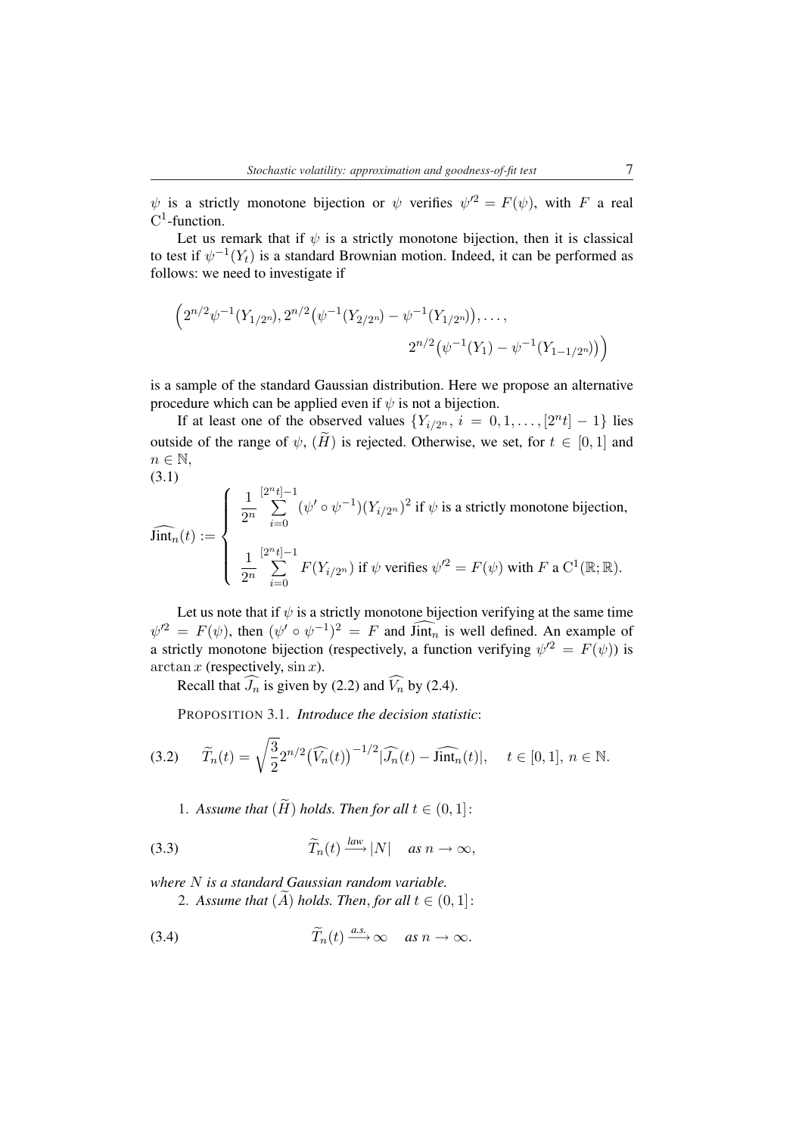$\psi$  is a strictly monotone bijection or  $\psi$  verifies  $\psi'^2 = F(\psi)$ , with F a real  $C^1$ -function.

Let us remark that if  $\psi$  is a strictly monotone bijection, then it is classical to test if  $\psi^{-1}(Y_t)$  is a standard Brownian motion. Indeed, it can be performed as follows: we need to investigate if

$$
\left(2^{n/2}\psi^{-1}(Y_{1/2^n}), 2^{n/2}(\psi^{-1}(Y_{2/2^n}) - \psi^{-1}(Y_{1/2^n})), \dots, \right.\n\left.2^{n/2}(\psi^{-1}(Y_1) - \psi^{-1}(Y_{1-1/2^n}))\right)
$$

is a sample of the standard Gaussian distribution. Here we propose an alternative procedure which can be applied even if  $\psi$  is not a bijection.

If at least one of the observed values  ${Y_{i/2^n}, i = 0, 1, ..., [2^n t] - 1}$  lies outside of the range of  $\psi$ ,  $(H$  is rejected. Otherwise, we set, for  $t \in [0,1]$  and n *∈* N,  $(3.1)$ 

(3.1)  
\n
$$
\widehat{\text{Jint}}_n(t) := \begin{cases}\n\frac{1}{2^n} \sum_{i=0}^{[2^n t]-1} (\psi' \circ \psi^{-1})(Y_{i/2^n})^2 \text{ if } \psi \text{ is a strictly monotone bijection,} \\
\frac{1}{2^n} \sum_{i=0}^{[2^n t]-1} F(Y_{i/2^n}) \text{ if } \psi \text{ verifies } \psi'^2 = F(\psi) \text{ with } F \text{ a } C^1(\mathbb{R}; \mathbb{R}).\n\end{cases}
$$

Let us note that if  $\psi$  is a strictly monotone bijection verifying at the same time  $\psi^2 = F(\psi)$ , then  $(\psi' \circ \psi^{-1})^2 = F$  and  $\widehat{\text{Jint}_n}$  is well defined. An example of a strictly monotone bijection (respectively, a function verifying  $\psi^2 = F(\psi)$ ) is  $arctan x$  (respectively,  $\sin x$ ).

Recall that  $\widehat{J}_n$  is given by (2.2) and  $\widehat{V}_n$  by (2.4).

PROPOSITION 3.1. *Introduce the decision statistic*:

$$
(3.2) \qquad \widetilde{T}_n(t) = \sqrt{\frac{3}{2}} 2^{n/2} \left(\widehat{V}_n(t)\right)^{-1/2} |\widehat{J}_n(t) - \widehat{\text{lint}}_n(t)|, \quad t \in [0, 1], n \in \mathbb{N}.
$$

1. Assume that  $(H)$  holds. Then for all  $t \in (0,1]$ :

(3.3) 
$$
\widetilde{T}_n(t) \xrightarrow{law} |N| \quad \text{as } n \to \infty,
$$

*where* N *is a standard Gaussian random variable.*

2. Assume that  $(A)$  holds. Then, for all  $t \in (0,1]$ :

(3.4) 
$$
\widetilde{T}_n(t) \xrightarrow{a.s.} \infty \quad \text{as } n \to \infty.
$$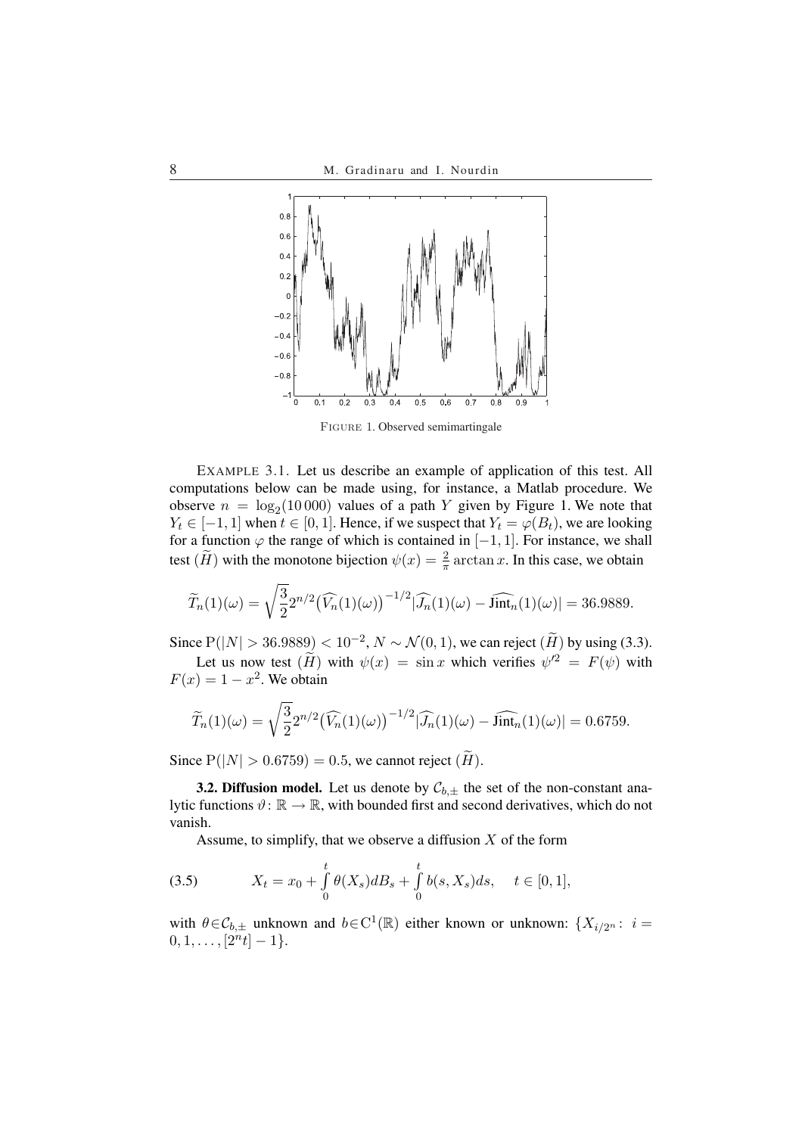

Figure 1. Observed semimartingale

EXAMPLE 3.1. Let us describe an example of application of this test. All computations below can be made using, for instance, a Matlab procedure. We observe  $n = \log_2(10000)$  values of a path Y given by Figure 1. We note that *Y*<sub>t</sub> ∈ [−1, 1] when  $t \in [0, 1]$ . Hence, if we suspect that  $Y_t = \varphi(B_t)$ , we are looking for a function  $\varphi$  the range of which is contained in [−1, 1]. For instance, we shall test  $(H)$  with the monotone bijection  $\psi(x) = \frac{2}{\pi} \arctan x$ . In this case, we obtain

$$
\widetilde{T}_n(1)(\omega) = \sqrt{\frac{3}{2}} 2^{n/2} (\widehat{V}_n(1)(\omega))^{-1/2} |\widehat{J}_n(1)(\omega) - \widehat{\text{Jint}}_n(1)(\omega)| = 36.9889.
$$

Since  $P(|N| > 36.9889) < 10^{-2}$ ,  $N \sim \mathcal{N}(0, 1)$ , we can reject  $(\widetilde{H})$  by using (3.3). Let us now test  $(H)$  with  $\psi(x) = \sin x$  which verifies  $\psi'^2 = F(\psi)$  with  $F(x) = 1 - x^2$ . We obtain

$$
\widetilde{T}_n(1)(\omega) = \sqrt{\frac{3}{2}} 2^{n/2} (\widehat{V}_n(1)(\omega))^{-1/2} |\widehat{J}_n(1)(\omega) - \widehat{\text{lint}}_n(1)(\omega)| = 0.6759.
$$

Since  $P(|N| > 0.6759) = 0.5$ , we cannot reject  $(H)$ .

**3.2. Diffusion model.** Let us denote by  $C_{b,\pm}$  the set of the non-constant analytic functions  $\vartheta: \mathbb{R} \to \mathbb{R}$ , with bounded first and second derivatives, which do not vanish.

Assume, to simplify, that we observe a diffusion  $X$  of the form

(3.5) 
$$
X_t = x_0 + \int_0^t \theta(X_s) dB_s + \int_0^t b(s, X_s) ds, \quad t \in [0, 1],
$$

with  $\theta \in \mathcal{C}_{b,\pm}$  unknown and  $b \in C^1(\mathbb{R})$  either known or unknown:  $\{X_{i/2^n}: i =$  $[2<sup>n</sup>t]-1$ .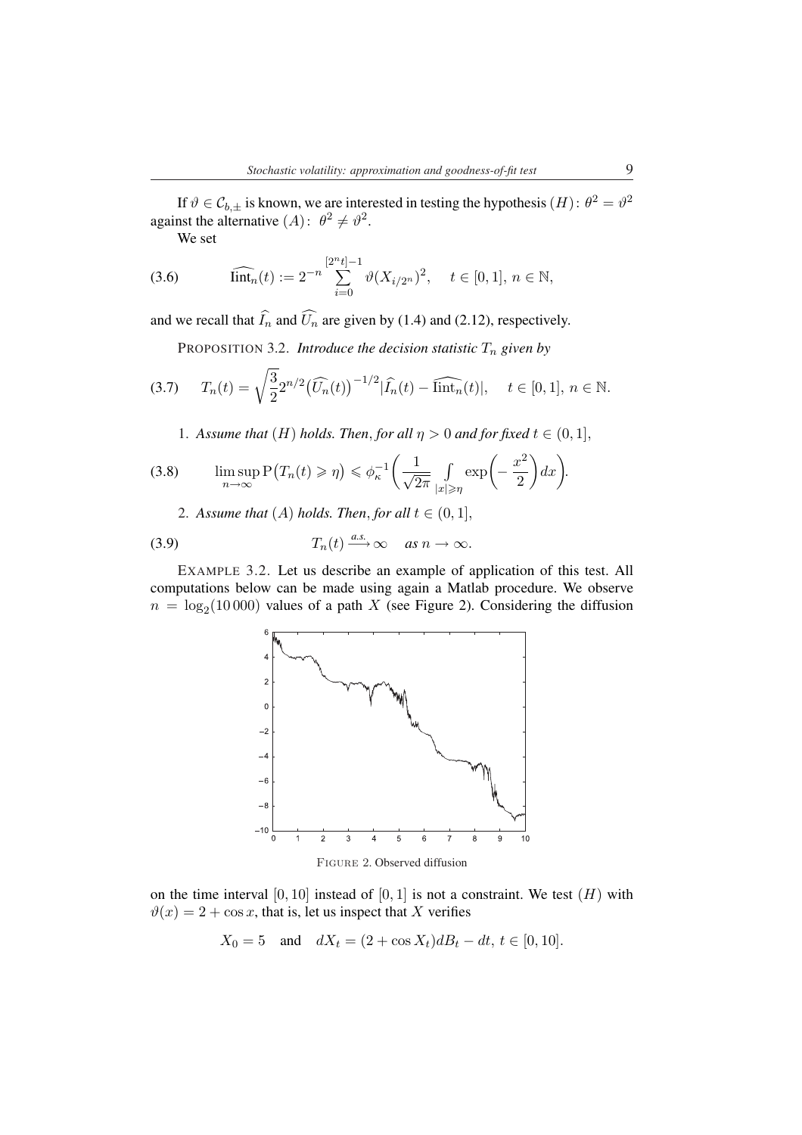If  $\vartheta \in C_{b,\pm}$  is known, we are interested in testing the hypothesis  $(H)$ :  $\theta^2 = \vartheta^2$ against the alternative  $(A)$ :  $\theta^2 \neq \theta^2$ .

We set

(3.6) 
$$
\widehat{\text{lint}}_n(t) := 2^{-n} \sum_{i=0}^{[2^n t]-1} \vartheta(X_{i/2^n})^2, \quad t \in [0,1], n \in \mathbb{N},
$$

and we recall that  $\widehat{I}_n$  and  $\widehat{U}_n$  are given by (1.4) and (2.12), respectively.

PROPOSITION 3.2. *Introduce the decision statistic*  $T_n$  *given by* 

$$
(3.7) \t T_n(t) = \sqrt{\frac{3}{2}} 2^{n/2} \left(\widehat{U_n}(t)\right)^{-1/2} |\widehat{I_n}(t) - \widehat{\text{lint}_n}(t)|, \quad t \in [0, 1], \ n \in \mathbb{N}.
$$

1. Assume that  $(H)$  holds. Then, for all  $\eta > 0$  and for fixed  $t \in (0,1]$ ,

(3.8) 
$$
\limsup_{n \to \infty} P(T_n(t) \ge \eta) \le \phi_{\kappa}^{-1} \left( \frac{1}{\sqrt{2\pi}} \int_{|x| \ge \eta} \exp\left(-\frac{x^2}{2}\right) dx \right).
$$

2. Assume that  $(A)$  holds. Then, for all  $t \in (0,1]$ ,

(3.9) 
$$
T_n(t) \xrightarrow{a.s.} \infty \quad \text{as } n \to \infty.
$$

EXAMPLE 3.2. Let us describe an example of application of this test. All computations below can be made using again a Matlab procedure. We observe  $n = \log_2(10000)$  values of a path X (see Figure 2). Considering the diffusion



Figure 2. Observed diffusion

on the time interval  $[0, 10]$  instead of  $[0, 1]$  is not a constraint. We test  $(H)$  with  $\vartheta(x) = 2 + \cos x$ , that is, let us inspect that X verifies

$$
X_0 = 5
$$
 and  $dX_t = (2 + \cos X_t)dB_t - dt$ ,  $t \in [0, 10]$ .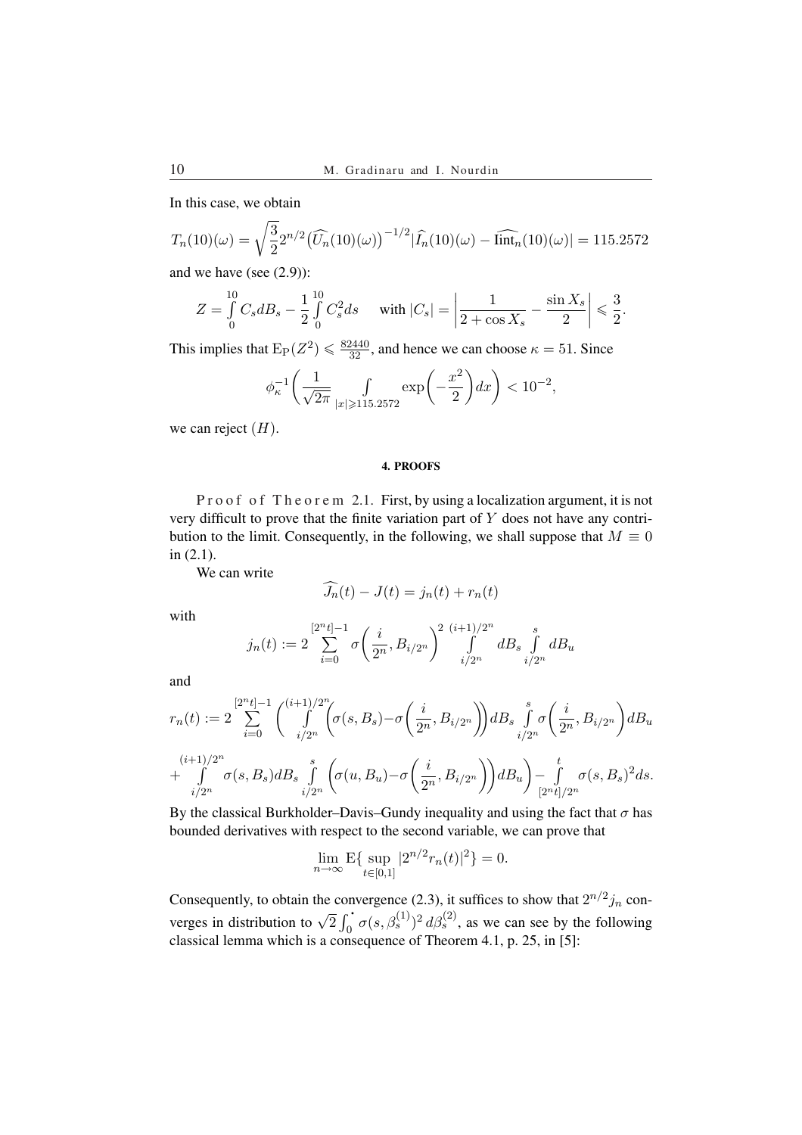In this case, we obtain

$$
T_n(10)(\omega) = \sqrt{\frac{3}{2}} 2^{n/2} \left(\widehat{U_n}(10)(\omega)\right)^{-1/2} |\widehat{I_n}(10)(\omega) - \widehat{\text{lint}}_n(10)(\omega)| = 115.2572
$$

and we have (see (2.9)):

$$
Z = \int_{0}^{10} C_s dB_s - \frac{1}{2} \int_{0}^{10} C_s^2 ds \quad \text{ with } |C_s| = \left| \frac{1}{2 + \cos X_s} - \frac{\sin X_s}{2} \right| \leqslant \frac{3}{2}.
$$

This implies that  $\mathbb{E}_{P}(Z^2) \leq \frac{82440}{32}$ , and hence we can choose  $\kappa = 51$ . Since

$$
\phi_{\kappa}^{-1}\bigg(\frac{1}{\sqrt{2\pi}}\int\limits_{|x|\geqslant 115.2572}\exp\bigg(-\frac{x^2}{2}\bigg)dx\bigg)<10^{-2},
$$

we can reject  $(H)$ .

# 4. PROOFS

P r o o f o f T h e o r e m 2.1. First, by using a localization argument, it is not very difficult to prove that the finite variation part of  $Y$  does not have any contribution to the limit. Consequently, in the following, we shall suppose that  $M \equiv 0$ in (2.1).

We can write

$$
\widehat{J_n}(t) - J(t) = j_n(t) + r_n(t)
$$

with

$$
j_n(t) := 2 \sum_{i=0}^{\lfloor 2^n t \rfloor - 1} \sigma \left( \frac{i}{2^n}, B_{i/2^n} \right)^2 \int_{i/2^n}^{(i+1)/2^n} dB_s \int_{i/2^n}^s dB_u
$$

and

$$
r_n(t) := 2 \sum_{i=0}^{[2^n t]-1} \binom{(i+1)/2^n}{\int \limits_{i/2^n} (\sigma(s, B_s) - \sigma(\frac{i}{2^n}, B_{i/2^n})) dB_s \int_{i/2^n}^s \sigma(\frac{i}{2^n}, B_{i/2^n}) dB_u
$$
  
+ 
$$
\int \limits_{i/2^n}^{\left(i+1\right)/2^n} \sigma(s, B_s) dB_s \int \limits_{i/2^n}^s \left(\sigma(u, B_u) - \sigma(\frac{i}{2^n}, B_{i/2^n})\right) dB_u \Big) - \int \limits_{[2^n t]/2^n}^t \sigma(s, B_s)^2 ds.
$$

By the classical Burkholder–Davis–Gundy inequality and using the fact that  $\sigma$  has bounded derivatives with respect to the second variable, we can prove that

$$
\lim_{n \to \infty} \mathbf{E} \{ \sup_{t \in [0,1]} |2^{n/2} r_n(t)|^2 \} = 0.
$$

Consequently, to obtain the convergence (2.3), it suffices to show that  $2^{n/2}j_n$  converges in distribution to  $\sqrt{2} \int_0^1 \sigma(s, \beta_s^{(1)})^2 d\beta_s^{(2)}$ , as we can see by the following  $\int_0^{\cdot} \sigma(s,\beta_s^{(1)})^2 d\beta_s^{(2)}$ , as we can see by the following classical lemma which is a consequence of Theorem 4.1, p. 25, in [5]: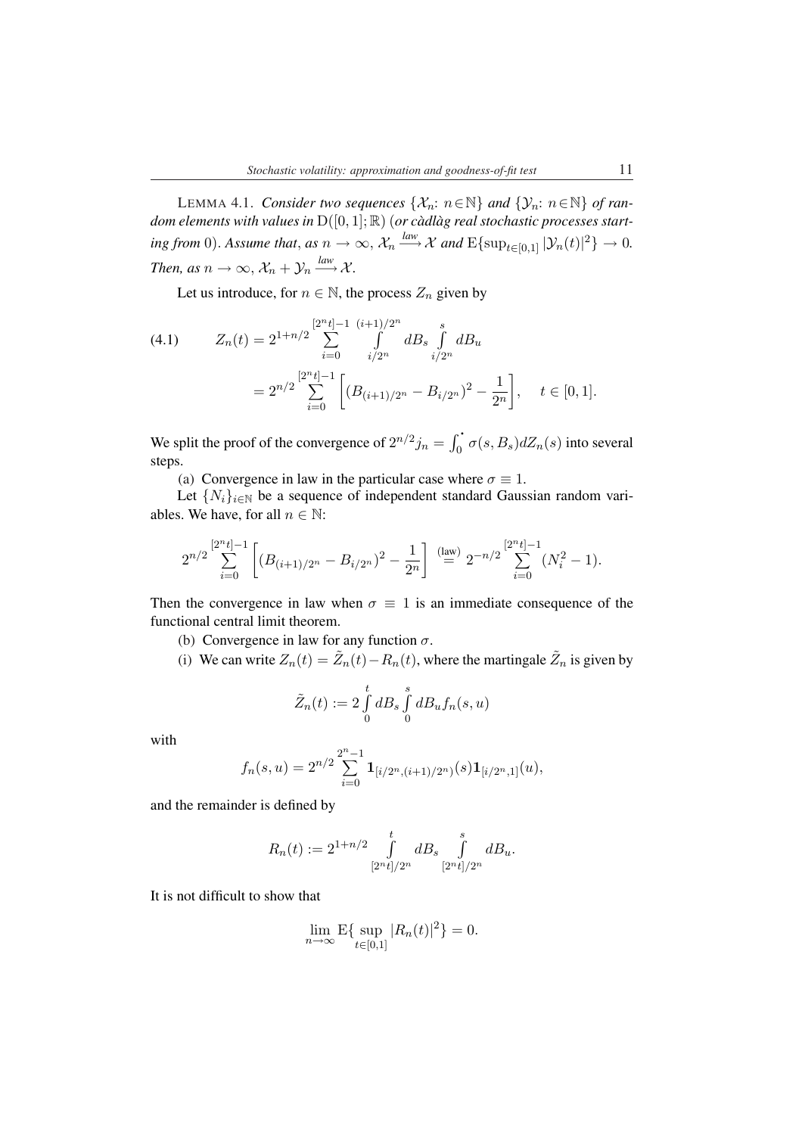LEMMA 4.1. *Consider two sequences*  $\{X_n: n \in \mathbb{N}\}\$  *and*  $\{Y_n: n \in \mathbb{N}\}\$  *of random elements with values in*  $D([0, 1]; \mathbb{R})$  (*or càdlàg real stochastic processes start-* $\lim_{n \to \infty}$  *from* 0). Assume that, as  $n \to \infty$ ,  $\mathcal{X}_n \xrightarrow{law} \mathcal{X}$  and  $\mathrm{E} \{ \sup_{t \in [0,1]} |\mathcal{Y}_n(t)|^2 \} \to 0$ . *Then, as*  $n \to \infty$ ,  $\mathcal{X}_n + \mathcal{Y}_n \xrightarrow{law} \mathcal{X}$ .

Let us introduce, for  $n \in \mathbb{N}$ , the process  $Z_n$  given by

$$
(4.1) \t Z_n(t) = 2^{1+n/2} \sum_{i=0}^{\lfloor 2^n t \rfloor - 1} \int_{i/2^n}^{(i+1)/2^n} dB_s \int_{i/2^n}^s dB_u
$$
  

$$
= 2^{n/2} \sum_{i=0}^{\lfloor 2^n t \rfloor - 1} \left[ (B_{(i+1)/2^n} - B_{i/2^n})^2 - \frac{1}{2^n} \right], \quad t \in [0, 1].
$$

We split the proof of the convergence of  $2^{n/2}j_n = \int_0^1$  $\int_0^{\cdot} \sigma(s, B_s) dZ_n(s)$  into several steps.

(a) Convergence in law in the particular case where  $\sigma \equiv 1$ .

Let  $\{N_i\}_{i\in\mathbb{N}}$  be a sequence of independent standard Gaussian random variables. We have, for all  $n \in \mathbb{N}$ :

$$
2^{n/2}\sum_{i=0}^{[2^{n}t]-1}\left[(B_{(i+1)/2^{n}}-B_{i/2^{n}})^{2}-\frac{1}{2^{n}}\right] \stackrel{\text{(law)}}{=} 2^{-n/2}\sum_{i=0}^{[2^{n}t]-1}(N_{i}^{2}-1).
$$

Then the convergence in law when  $\sigma \equiv 1$  is an immediate consequence of the functional central limit theorem.

- (b) Convergence in law for any function  $\sigma$ .
- (i) We can write  $Z_n(t) = \tilde{Z}_n(t) R_n(t)$ , where the martingale  $\tilde{Z}_n$  is given by

$$
\tilde{Z}_n(t) := 2 \int_0^t dB_s \int_0^s dB_u f_n(s, u)
$$

with

$$
f_n(s,u)=2^{n/2}\sum_{i=0}^{2^n-1}{\bf 1}_{[i/2^n,(i+1)/2^n)}(s){\bf 1}_{[i/2^n,1]}(u),
$$

and the remainder is defined by

$$
R_n(t) := 2^{1+n/2} \int_{[2^n t]/2^n}^t dB_s \int_{[2^n t]/2^n}^s dB_u.
$$

It is not difficult to show that

$$
\lim_{n \to \infty} \mathbf{E} \{ \sup_{t \in [0,1]} |R_n(t)|^2 \} = 0.
$$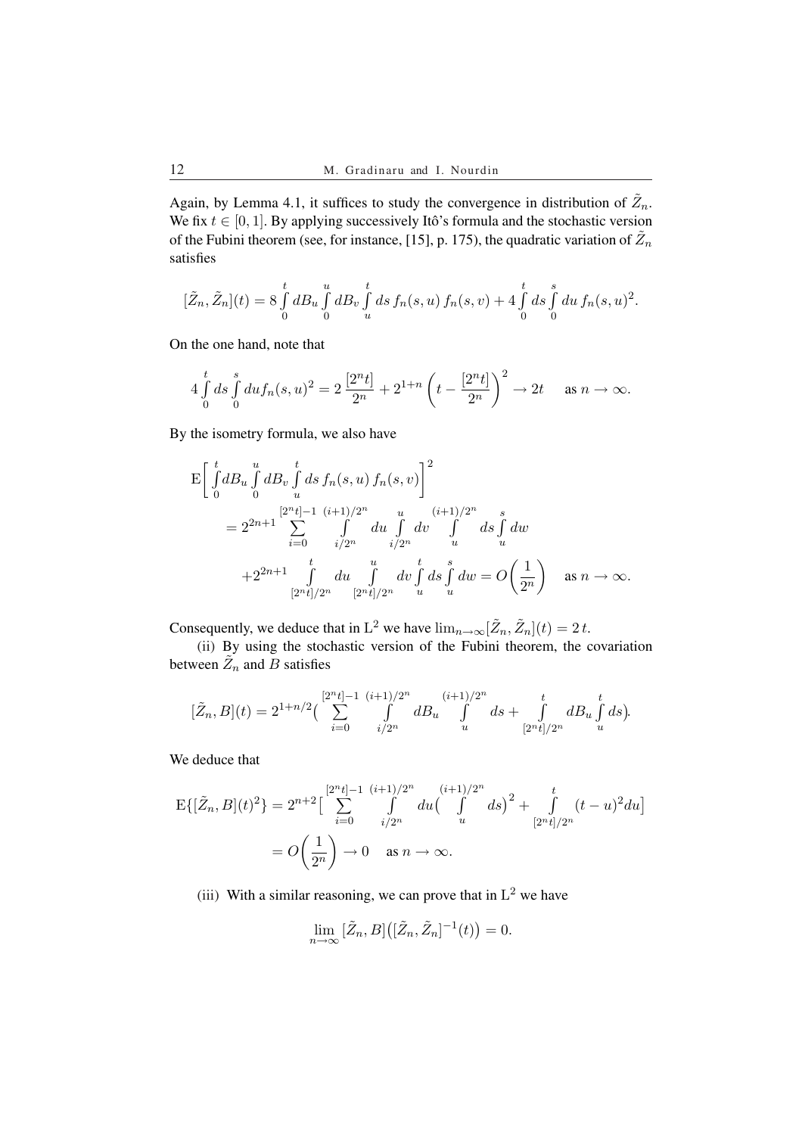Again, by Lemma 4.1, it suffices to study the convergence in distribution of  $\tilde{Z}_n$ . We fix  $t \in [0, 1]$ . By applying successively Itô's formula and the stochastic version of the Fubini theorem (see, for instance, [15], p. 175), the quadratic variation of  $\tilde{Z}_n$ satisfies

$$
[\tilde{Z}_n,\tilde{Z}_n](t) = 8 \int_0^t dB_u \int_0^u dB_v \int_u^t ds f_n(s,u) f_n(s,v) + 4 \int_0^t ds \int_0^s du f_n(s,u)^2.
$$

On the one hand, note that

$$
4\int_{0}^{t} ds \int_{0}^{s} du f_n(s, u)^2 = 2\frac{[2^n t]}{2^n} + 2^{1+n} \left(t - \frac{[2^n t]}{2^n}\right)^2 \to 2t \quad \text{as } n \to \infty.
$$

By the isometry formula, we also have

$$
\begin{split} \mathbf{E} \bigg[ \int_{0}^{t} dB_{u} \int_{0}^{u} dB_{v} \int_{u}^{t} ds \, f_{n}(s, u) \, f_{n}(s, v) \bigg]^{2} \\ & = 2^{2n+1} \sum_{i=0}^{\left[ 2^{n} t \right] - 1} \sum_{i/2^{n}}^{(i+1)/2^{n}} \int_{i/2^{n}}^{u} du \int_{u}^{(i+1)/2^{n}} ds \int_{u}^{s} dw \\ & \quad + 2^{2n+1} \int_{\left[ 2^{n} t \right] / 2^{n}}^{t} du \int_{\left[ 2^{n} t \right] / 2^{n}}^{u} dv \int_{u}^{t} ds \int_{u}^{s} dw = O\bigg( \frac{1}{2^{n}} \bigg) \quad \text{as } n \to \infty. \end{split}
$$

Consequently, we deduce that in L<sup>2</sup> we have  $\lim_{n\to\infty}[\tilde{Z}_n, \tilde{Z}_n](t) = 2t$ .

(ii) By using the stochastic version of the Fubini theorem, the covariation between  $\tilde{Z}_n$  and  $\tilde{B}$  satisfies

$$
[\tilde{Z}_n, B](t) = 2^{1+n/2} \left( \sum_{i=0}^{\lfloor 2^n t \rfloor - 1} \int \limits_{i/2^n}^{(i+1)/2^n} d B_u \int \limits_u^{(i+1)/2^n} ds + \int \limits_{[2^n t]/2^n}^t d B_u \int \limits_u^t ds \right).
$$

We deduce that

$$
E\{[\tilde{Z}_n, B](t)^2\} = 2^{n+2} \Big[ \sum_{i=0}^{[2^n t]-1} \int_{i/2^n}^{(i+1)/2^n} du \Big(\int_u^{(i+1)/2^n} ds\Big)^2 + \int_{[2^n t]/2^n}^t (t-u)^2 du\Big]
$$
  
=  $O\left(\frac{1}{2^n}\right) \to 0$  as  $n \to \infty$ .

(iii) With a similar reasoning, we can prove that in  $L^2$  we have

$$
\lim_{n\to\infty}\big[\tilde{Z}_n,B\big]\big(\big[\tilde{Z}_n,\tilde{Z}_n\big]^{-1}(t)\big)=0.
$$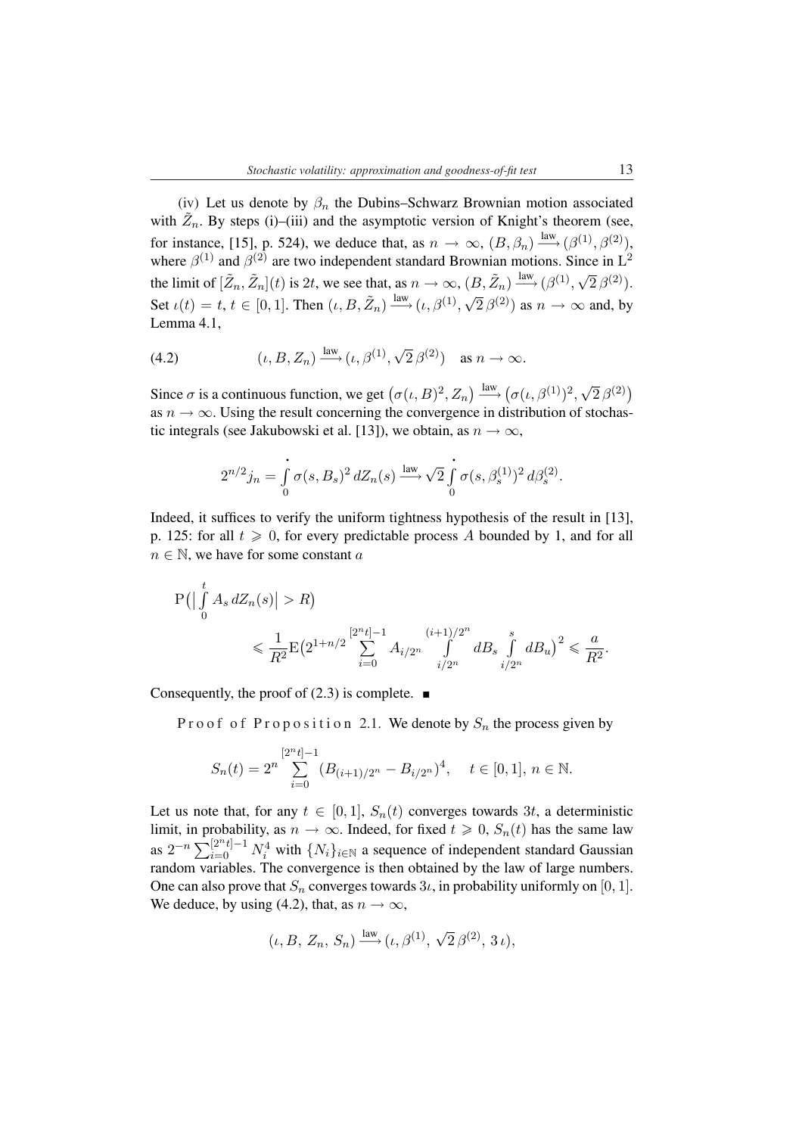(iv) Let us denote by  $\beta_n$  the Dubins–Schwarz Brownian motion associated with  $\tilde{Z}_n$ . By steps (i)–(iii) and the asymptotic version of Knight's theorem (see, for instance, [15], p. 524), we deduce that, as  $n \to \infty$ ,  $(B, \beta_n) \stackrel{\text{law}}{\longrightarrow} (\beta^{(1)}, \beta^{(2)})$ , where  $\beta^{(1)}$  and  $\beta^{(2)}$  are two independent standard Brownian motions. Since in  $L^2$ the limit of  $[\tilde{Z}_n, \tilde{Z}_n](t)$  is 2t, we see that, as  $n \to \infty$ ,  $(B, \tilde{Z}_n) \stackrel{\text{law}}{\longrightarrow} (\beta^{(1)},$ *√*  $\overline{2}\beta^{(2)}$ ). Set  $\iota(t) = t, t \in [0, 1]$ . Then  $(\iota, B, \tilde{Z}_n) \stackrel{\text{law}}{\longrightarrow} (\iota, \beta^{(1)},$ *√*  $\overline{2} \beta^{(2)}$ ) as  $n \to \infty$  and, by Lemma 4.1,

(4.2) 
$$
(\iota, B, Z_n) \xrightarrow{\text{law}} (\iota, \beta^{(1)}, \sqrt{2} \beta^{(2)}) \text{ as } n \to \infty.
$$

Since  $\sigma$  is a continuous function, we get  $(\sigma(\iota, B)^2, Z_n) \xrightarrow{\text{law}} (\sigma(\iota, \beta^{(1)})^2,$ *√*  $\overline{2}\beta^{(2)}$ as  $n \to \infty$ . Using the result concerning the convergence in distribution of stochastic integrals (see Jakubowski et al. [13]), we obtain, as  $n \to \infty$ ,

$$
2^{n/2}j_n = \int_0^{\cdot} \sigma(s, B_s)^2 dZ_n(s) \xrightarrow{\text{law}} \sqrt{2} \int_0^{\cdot} \sigma(s, \beta_s^{(1)})^2 d\beta_s^{(2)}.
$$

Indeed, it suffices to verify the uniform tightness hypothesis of the result in [13], p. 125: for all  $t \ge 0$ , for every predictable process A bounded by 1, and for all  $n \in \mathbb{N}$ , we have for some constant a

$$
P\left(\left|\int\limits_{0}^{t} A_{s} dZ_{n}(s)\right| > R\right)
$$
  
\$\leqslant \frac{1}{R^{2}} E\left(2^{1+n/2} \sum\_{i=0}^{[2^{n}t]-1} A\_{i/2^{n}} \int\limits\_{i/2^{n}}^{(i+1)/2^{n}} dB\_{s} \int\limits\_{i/2^{n}}^{s} dB\_{u}\right)^{2} \leqslant \frac{a}{R^{2}}.\$

Consequently, the proof of  $(2.3)$  is complete.  $\blacksquare$ 

P r o o f o f P r o p o sition 2.1. We denote by  $S_n$  the process given by

$$
S_n(t) = 2^n \sum_{i=0}^{[2^n t]-1} (B_{(i+1)/2^n} - B_{i/2^n})^4, \quad t \in [0,1], n \in \mathbb{N}.
$$

Let us note that, for any  $t \in [0, 1]$ ,  $S_n(t)$  converges towards 3t, a deterministic limit, in probability, as  $n \to \infty$ . Indeed, for fixed  $t \geq 0$ ,  $S_n(t)$  has the same law  $\lim_{n \to \infty} \lim_{n \to \infty} \lim_{n \to \infty} \lim_{n \to \infty} \lim_{n \to \infty} \lim_{n \to \infty} \lim_{n \to \infty} \lim_{n \to \infty} \lim_{n \to \infty} \lim_{n \to \infty} \lim_{n \to \infty} \lim_{n \to \infty} \lim_{n \to \infty} \lim_{n \to \infty} \lim_{n \to \infty} \lim_{n \to \infty} \lim_{n \to \infty} \lim_{n \to \infty} \lim_{n \to \infty} \lim_{n \to \infty} \lim_{n \to \infty} \lim_{n \to \infty$ random variables. The convergence is then obtained by the law of large numbers. One can also prove that  $S_n$  converges towards  $3\iota$ , in probability uniformly on [0, 1]. We deduce, by using (4.2), that, as  $n \to \infty$ ,

$$
(\iota, B, Z_n, S_n) \xrightarrow{\text{law}} (\iota, \beta^{(1)}, \sqrt{2} \,\beta^{(2)}, 3 \,\iota),
$$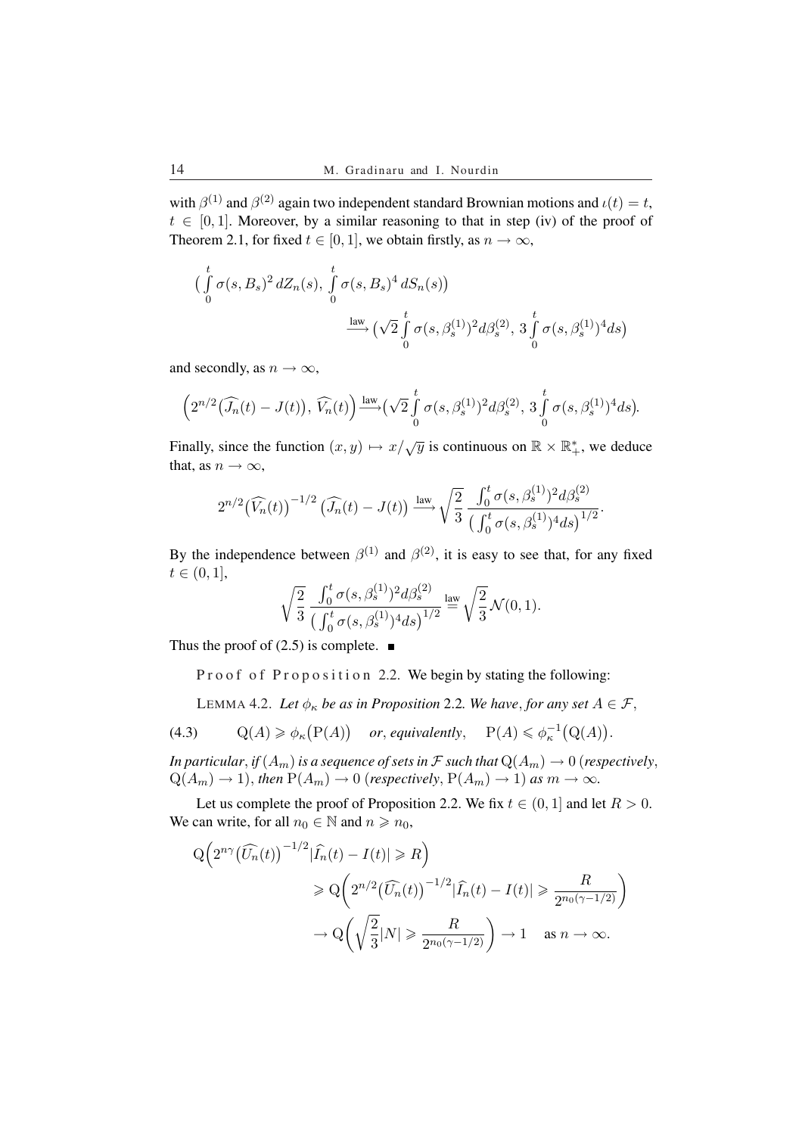with  $\beta^{(1)}$  and  $\beta^{(2)}$  again two independent standard Brownian motions and  $\iota(t) = t$ ,  $t \in [0, 1]$ . Moreover, by a similar reasoning to that in step (iv) of the proof of Theorem 2.1, for fixed  $t \in [0, 1]$ , we obtain firstly, as  $n \to \infty$ ,

$$
\left(\int_{0}^{t} \sigma(s, B_{s})^{2} dZ_{n}(s), \int_{0}^{t} \sigma(s, B_{s})^{4} dS_{n}(s)\right) \xrightarrow{\text{law}} \left(\sqrt{2} \int_{0}^{t} \sigma(s, \beta_{s}^{(1)})^{2} d\beta_{s}^{(2)}, 3 \int_{0}^{t} \sigma(s, \beta_{s}^{(1)})^{4} ds\right)
$$

and secondly, as  $n \to \infty$ ,

$$
\left(2^{n/2}\left(\widehat{J_n}(t)-J(t)\right), \,\widehat{V_n}(t)\right)\stackrel{\text{law}}{\longrightarrow}\left(\sqrt{2}\int\limits_0^t\sigma(s,\beta^{(1)}_s)^2d\beta^{(2)}_s,\,3\int\limits_0^t\sigma(s,\beta^{(1)}_s)^4ds\right).
$$

Finally, since the function  $(x, y) \mapsto x/\sqrt{y}$  is continuous on  $\mathbb{R} \times \mathbb{R}^*_+$ , we deduce that, as  $n \to \infty$ ,

$$
2^{n/2}(\widehat{V_n}(t))^{-1/2}(\widehat{J_n}(t) - J(t)) \xrightarrow{\text{law}} \sqrt{\frac{2}{3}} \frac{\int_0^t \sigma(s, \beta_s^{(1)})^2 d\beta_s^{(2)}}{\left(\int_0^t \sigma(s, \beta_s^{(1)})^4 ds\right)^{1/2}}.
$$

By the independence between  $\beta^{(1)}$  and  $\beta^{(2)}$ , it is easy to see that, for any fixed  $t \in (0, 1],$ 

$$
\sqrt{\frac{2}{3}}\,\frac{\int_0^t\sigma(s,\beta_s^{(1)})^2d\beta_s^{(2)}}{\big(\int_0^t\sigma(s,\beta_s^{(1)})^4ds\big)^{1/2}}\stackrel{\text{law}}{=} \sqrt{\frac{2}{3}}\,\mathcal{N}(0,1).
$$

Thus the proof of  $(2.5)$  is complete.  $\blacksquare$ 

Proof of Proposition 2.2. We begin by stating the following:

LEMMA 4.2. Let  $\phi_{\kappa}$  *be as in Proposition* 2.2*. We have, for any set*  $A \in \mathcal{F}$ ,

(4.3)  $Q(A) \geq \phi_{\kappa}$ ¡  $P(A)$ ¢ *or*, *equivalently*,  $P(A) \leq \phi_{\kappa}^{-1}$ ¡  $Q(A)$ ¢ .

*In particular, if*  $(A_m)$  *is a sequence of sets in*  $\mathcal F$  *such that*  $Q(A_m) \to 0$  (*respectively,*  $Q(A_m) \to 1$ , *then*  $P(A_m) \to 0$  (*respectively*,  $P(A_m) \to 1$ ) *as*  $m \to \infty$ *.* 

Let us complete the proof of Proposition 2.2. We fix  $t \in (0, 1]$  and let  $R > 0$ . We can write, for all  $n_0 \in \mathbb{N}$  and  $n \ge n_0$ ,

$$
Q\left(2^{n\gamma}(\widehat{U_n}(t))^{-1/2}|\widehat{I_n}(t) - I(t)| \ge R\right)
$$
  

$$
\ge Q\left(2^{n/2}(\widehat{U_n}(t))^{-1/2}|\widehat{I_n}(t) - I(t)| \ge \frac{R}{2^{n_0(\gamma - 1/2)}}\right)
$$
  

$$
\to Q\left(\sqrt{\frac{2}{3}}|N| \ge \frac{R}{2^{n_0(\gamma - 1/2)}}\right) \to 1 \quad \text{as } n \to \infty.
$$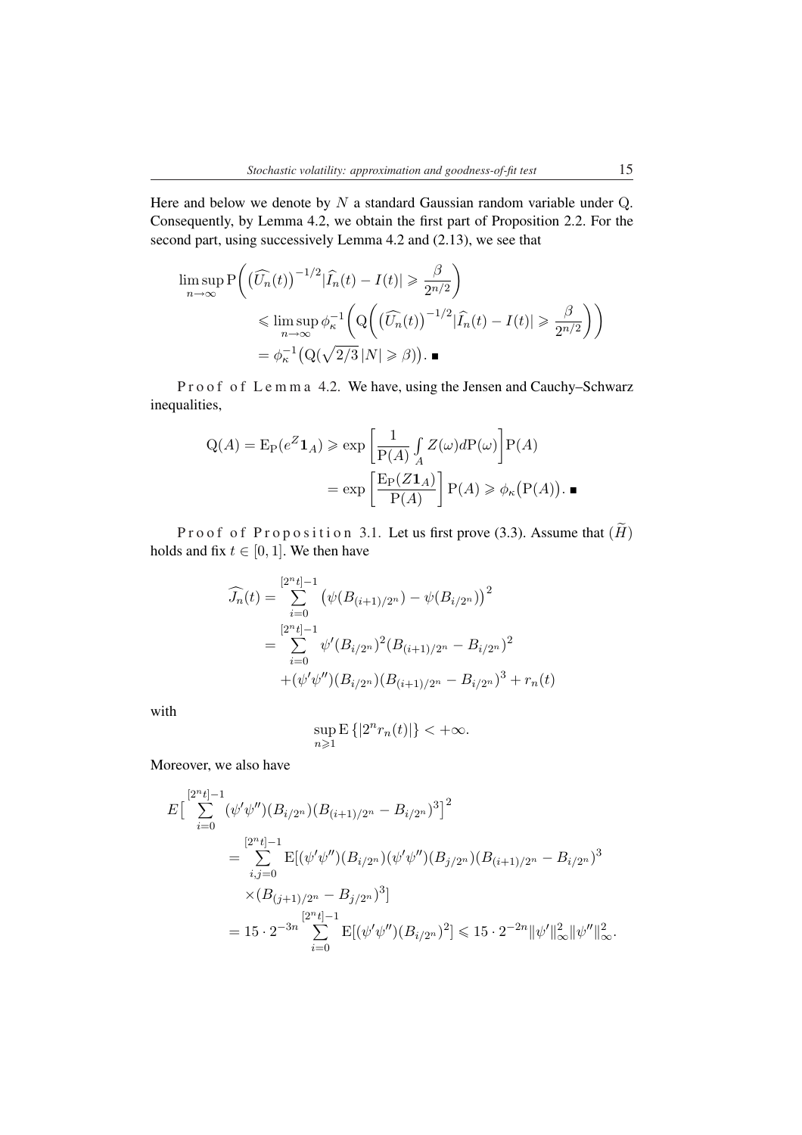Here and below we denote by  $N$  a standard Gaussian random variable under  $Q$ . Consequently, by Lemma 4.2, we obtain the first part of Proposition 2.2. For the second part, using successively Lemma 4.2 and (2.13), we see that

$$
\limsup_{n \to \infty} P\left( \left(\widehat{U_n}(t)\right)^{-1/2} |\widehat{I_n}(t) - I(t)| \geq \frac{\beta}{2^{n/2}} \right)
$$
\n
$$
\leq \limsup_{n \to \infty} \phi_{\kappa}^{-1}\left( Q\left( \left(\widehat{U_n}(t)\right)^{-1/2} |\widehat{I_n}(t) - I(t)| \geq \frac{\beta}{2^{n/2}} \right) \right)
$$
\n
$$
= \phi_{\kappa}^{-1}\left( Q(\sqrt{2/3} |N| \geq \beta) \right). \blacksquare
$$

P r o o f o f L e m m a 4.2. We have, using the Jensen and Cauchy–Schwarz inequalities,

$$
Q(A) = E_P(e^Z \mathbf{1}_A) \ge \exp\left[\frac{1}{P(A)} \int_A Z(\omega) dP(\omega)\right] P(A)
$$

$$
= \exp\left[\frac{E_P(Z \mathbf{1}_A)}{P(A)}\right] P(A) \ge \phi_\kappa(P(A)).
$$

Proof of Proposition 3.1. Let us first prove (3.3). Assume that  $(H)$ holds and fix  $t \in [0, 1]$ . We then have

$$
\widehat{J_n}(t) = \sum_{i=0}^{[2^n t]-1} \left( \psi(B_{(i+1)/2^n}) - \psi(B_{i/2^n}) \right)^2
$$
  
\n
$$
= \sum_{i=0}^{[2^n t]-1} \psi'(B_{i/2^n})^2 (B_{(i+1)/2^n} - B_{i/2^n})^2
$$
  
\n
$$
+ (\psi'\psi'')(B_{i/2^n}) (B_{(i+1)/2^n} - B_{i/2^n})^3 + r_n(t)
$$

with

$$
\sup_{n\geqslant 1}\mathbf{E}\left\{|2^nr_n(t)|\right\}<+\infty.
$$

Moreover, we also have

$$
E\left[\sum_{i=0}^{[2^{n}t]-1} (\psi'\psi'')(B_{i/2^{n}})(B_{(i+1)/2^{n}} - B_{i/2^{n}})^{3}\right]^{2}
$$
  
\n
$$
= \sum_{i,j=0}^{[2^{n}t]-1} E[(\psi'\psi'')(B_{i/2^{n}})(\psi'\psi'')(B_{j/2^{n}})(B_{(i+1)/2^{n}} - B_{i/2^{n}})^{3}
$$
  
\n
$$
\times (B_{(j+1)/2^{n}} - B_{j/2^{n}})^{3}]
$$
  
\n
$$
= 15 \cdot 2^{-3n} \sum_{i=0}^{[2^{n}t]-1} E[(\psi'\psi'')(B_{i/2^{n}})^{2}] \le 15 \cdot 2^{-2n} ||\psi'||_{\infty}^{2} ||\psi''||_{\infty}^{2}.
$$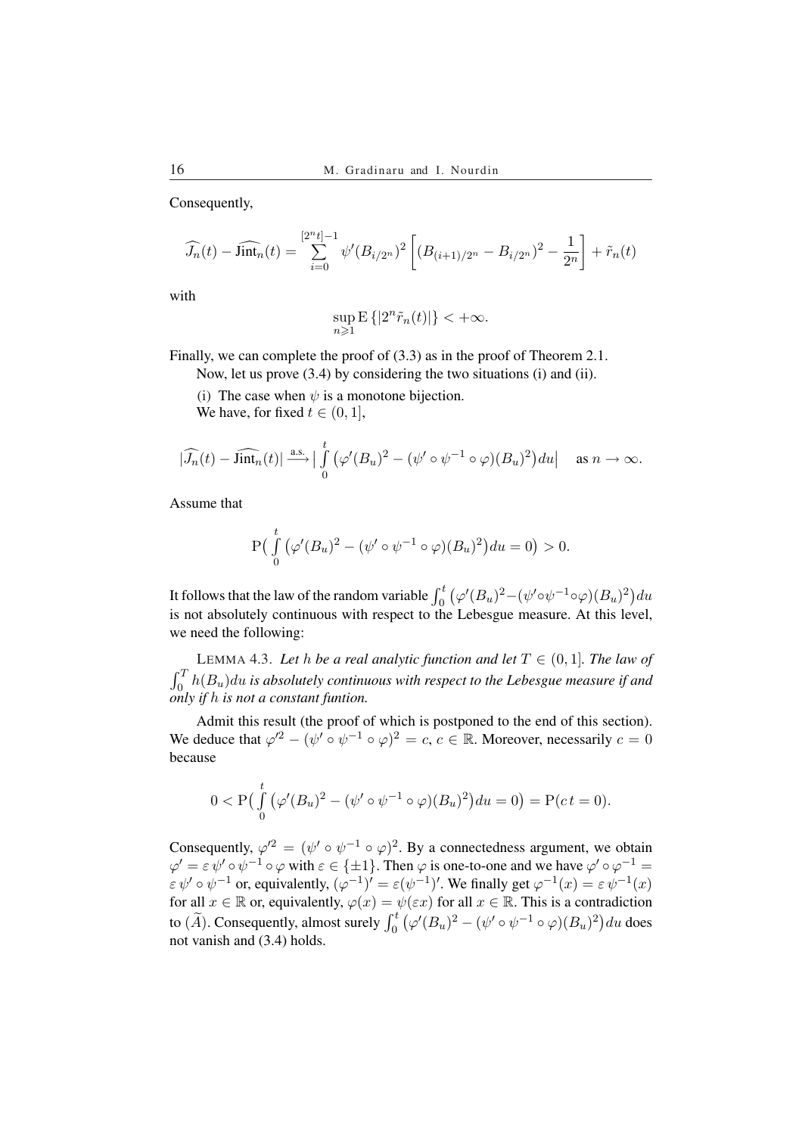Consequently,

$$
\widehat{J_n}(t) - \widehat{\text{link}}_n(t) = \sum_{i=0}^{[2^n t]-1} \psi'(B_{i/2^n})^2 \left[ (B_{(i+1)/2^n} - B_{i/2^n})^2 - \frac{1}{2^n} \right] + \tilde{r}_n(t)
$$

with

$$
\sup_{n\geqslant 1} \mathbf{E} \left\{ |2^n \tilde{r}_n(t)| \right\} < +\infty.
$$

Finally, we can complete the proof of (3.3) as in the proof of Theorem 2.1.

Now, let us prove (3.4) by considering the two situations (i) and (ii).

(i) The case when  $\psi$  is a monotone bijection.

We have, for fixed  $t \in (0, 1]$ ,

$$
|\widehat{J_n}(t) - \widehat{\text{Jint}_n}(t)| \xrightarrow{\text{a.s.}} |\int_0^t (\varphi'(B_u)^2 - (\psi' \circ \psi^{-1} \circ \varphi)(B_u)^2) du| \quad \text{as } n \to \infty.
$$

Assume that

$$
P\left(\int_{0}^{t} (\varphi'(B_u)^2 - (\psi' \circ \psi^{-1} \circ \varphi)(B_u)^2\right) du = 0) > 0.
$$

It follows that the law of the random variable  $\int_0^t$ ¡  $\varphi'(B_u)^2 - (\psi'\circ\psi^{-1}\circ\varphi)(B_u)^2$ du is not absolutely continuous with respect to the Lebesgue measure. At this level, we need the following:

LEMMA 4.3. Let *h be a real analytic function and let*  $T \in (0, 1]$ *. The law of*  $\int_0^1 h(B_u) du$  is absolutely continuous with respect to the Lebesgue measure if and *only if* h *is not a constant funtion.*

Admit this result (the proof of which is postponed to the end of this section). We deduce that  $\varphi'^2 - (\psi' \circ \psi^{-1} \circ \varphi)^2 = c, c \in \mathbb{R}$ . Moreover, necessarily  $c = 0$ because

$$
0 < P\left(\int_{0}^{t} (\varphi'(B_u)^2 - (\psi' \circ \psi^{-1} \circ \varphi)(B_u)^2\right) du = 0\right) = P(ct = 0).
$$

Consequently,  $\varphi^2 = (\psi' \circ \psi^{-1} \circ \varphi)^2$ . By a connectedness argument, we obtain  $\varphi' = \varepsilon \psi' \circ \psi^{-1} \circ \varphi$  with  $\varepsilon \in \{\pm 1\}$ . Then  $\varphi$  is one-to-one and we have  $\varphi' \circ \varphi^{-1} =$  $\varepsilon \psi' \circ \psi^{-1}$  or, equivalently,  $(\varphi^{-1})' = \varepsilon(\psi^{-1})'$ . We finally get  $\varphi^{-1}(x) = \varepsilon \psi^{-1}(x)$ for all  $x \in \mathbb{R}$  or, equivalently,  $\varphi(x) = \psi(\varepsilon x)$  for all  $x \in \mathbb{R}$ . This is a contradiction to  $(\widetilde{A})$ . Consequently, almost surely  $\int_0^t$ ¡  $\varphi'(B_u)^2 - (\psi' \circ \psi^{-1} \circ \varphi)(B_u)^2$ du does not vanish and (3.4) holds.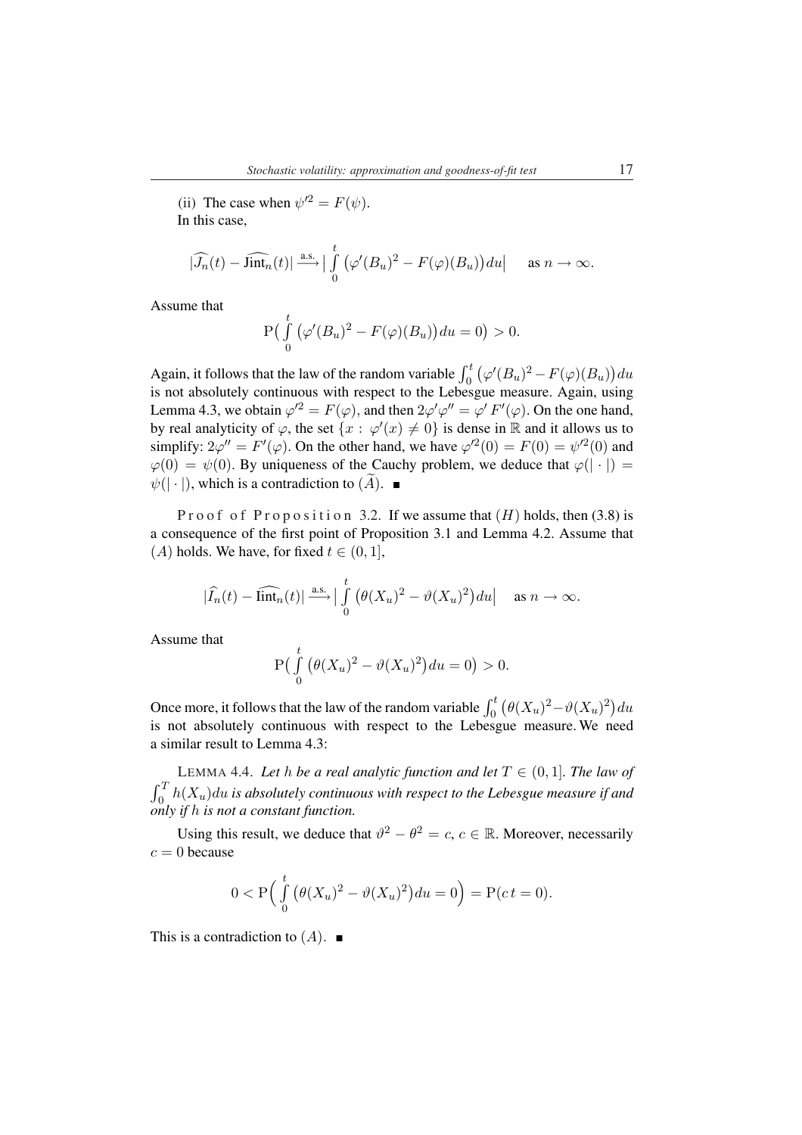(ii) The case when  $\psi'^2 = F(\psi)$ . In this case,

$$
|\widehat{J_n}(t) - \widehat{\text{link}_n}(t)| \stackrel{\text{a.s.}}{\longrightarrow} \Big| \int_0^t \big(\varphi'(B_u)^2 - F(\varphi)(B_u)\big) du \Big| \quad \text{as } n \to \infty.
$$

Assume that

$$
\mathbf{P}\left(\int_{0}^{t} \left(\varphi'(B_u)^2 - F(\varphi)(B_u)\right) du = 0\right) > 0.
$$

Again, it follows that the law of the random variable  $\int_0^t$ ¡  $\varphi'(B_u)^2 - F(\varphi)(B_u)$ du is not absolutely continuous with respect to the Lebesgue measure. Again, using Lemma 4.3, we obtain  $\varphi'^2 = F(\varphi)$ , and then  $2\varphi' \varphi'' = \varphi' F'(\varphi)$ . On the one hand, by real analyticity of  $\varphi$ , the set  $\{x : \varphi'(x) \neq 0\}$  is dense in R and it allows us to simplify:  $2\varphi'' = F'(\varphi)$ . On the other hand, we have  $\varphi'^2(0) = F(0) = \psi'^2(0)$  and  $\varphi(0) = \psi(0)$ . By uniqueness of the Cauchy problem, we deduce that  $\varphi(|\cdot|) =$  $\psi(|\cdot|)$ , which is a contradiction to  $(\overline{A})$ .

Proof of Proposition 3.2. If we assume that  $(H)$  holds, then (3.8) is a consequence of the first point of Proposition 3.1 and Lemma 4.2. Assume that (A) holds. We have, for fixed  $t \in (0, 1]$ ,

$$
\big|\widehat{I_n}(t)-\widehat{\text{lint}_n}(t)\big|\overset{\text{a.s.}}{\longrightarrow}\big|\int\limits_0^t\big(\theta(X_u)^2-\vartheta(X_u)^2\big)du\big|\quad\text{ as }n\to\infty.
$$

Assume that

$$
P\left(\int\limits_0^t \left(\theta(X_u)^2 - \vartheta(X_u)^2\right) du = 0\right) > 0.
$$

Once more, it follows that the law of the random variable  $\int_0^t$ ¡  $\theta(X_u)^2 - \vartheta(X_u)^2$ du is not absolutely continuous with respect to the Lebesgue measure. We need a similar result to Lemma 4.3:

LEMMA 4.4. Let h be a real analytic function and let  $T \in (0, 1]$ . The law of  $rT$  $\int_0^1 h(X_u) du$  is absolutely continuous with respect to the Lebesgue measure if and *only if* h *is not a constant function.*

Using this result, we deduce that  $\vartheta^2 - \theta^2 = c$ ,  $c \in \mathbb{R}$ . Moreover, necessarily  $c = 0$  because

$$
0 < P\Big(\int_{0}^{t} \big(\theta(X_u)^2 - \vartheta(X_u)^2\big) du = 0\Big) = P(ct = 0).
$$

This is a contradiction to  $(A)$ .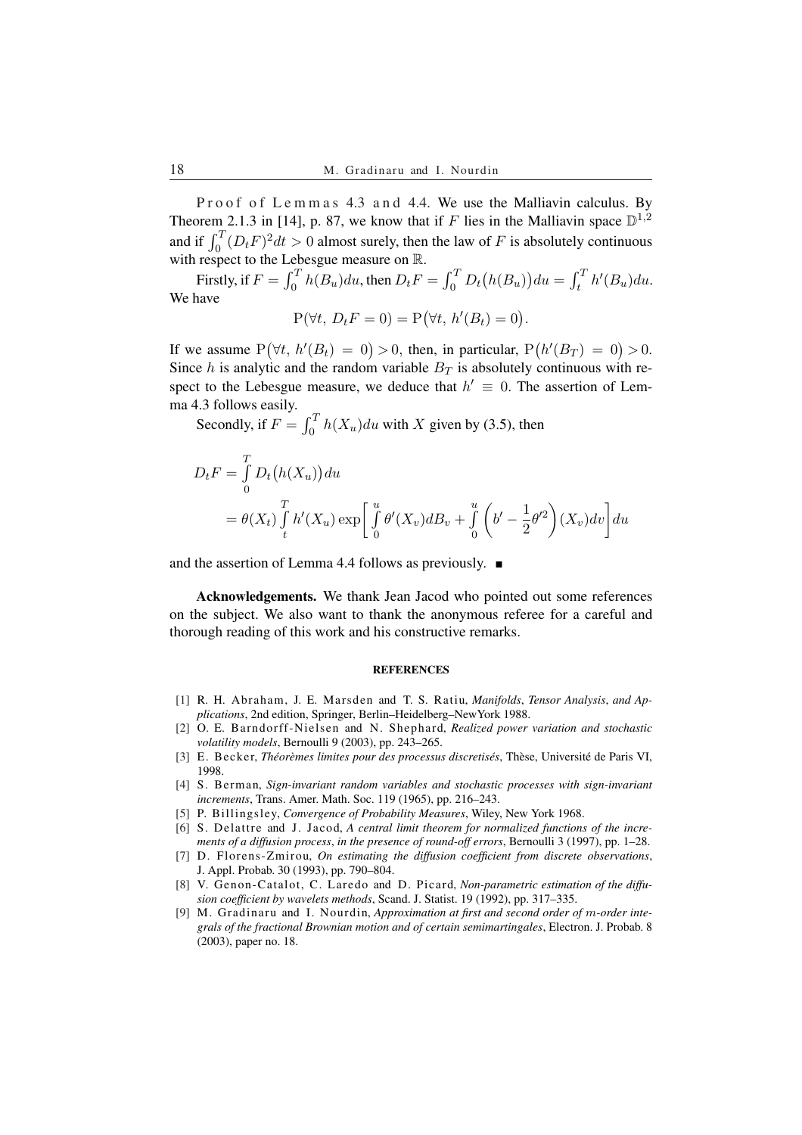Proof of Lemmas 4.3 and 4.4. We use the Malliavin calculus. By Theorem 2.1.3 in [14], p. 87, we know that if F lies in the Malliavin space  $\mathbb{D}^{1,2}$ Theorem 2.1.3 in [14], p. 87, we know that if F lies in the Malilavin space  $\mathbb{D}^{3}$ <br>and if  $\int_0^T (D_t F)^2 dt > 0$  almost surely, then the law of F is absolutely continuous with respect to the Lebesgue measure on R.

Firstly, if  $F = \int_0^T$  $\int_0^T h(B_u) du$ , then  $D_t F = \int_0^T h(B_u) du$  $\int_0^t D_t$ ¡  $h(B_u)$ ¢  $du = \int_t^T$  $\int_t^T h'(B_u) du.$ We have

$$
P(\forall t, D_t F = 0) = P(\forall t, h'(B_t) = 0).
$$

If we assume P  $(\forall t, h'(B_t) = 0) > 0$ , then, in particular, P ¡  $h'(B_T) = 0$ ) > 0. Since h is analytic and the random variable  $B_T$  is absolutely continuous with respect to the Lebesgue measure, we deduce that  $h' \equiv 0$ . The assertion of Lemma 4.3 follows easily.

 $S$  is rollows easily.<br>Secondly, if  $F = \int_0^T$  $\int_0^1 h(X_u) du$  with X given by (3.5), then

$$
D_t F = \int_0^T D_t (h(X_u)) du
$$
  
=  $\theta(X_t) \int_t^T h'(X_u) \exp \left[ \int_0^u \theta'(X_v) dB_v + \int_0^u \left( b' - \frac{1}{2} \theta'^2 \right) (X_v) dv \right] du$ 

and the assertion of Lemma 4.4 follows as previously.  $\blacksquare$ 

Acknowledgements. We thank Jean Jacod who pointed out some references on the subject. We also want to thank the anonymous referee for a careful and thorough reading of this work and his constructive remarks.

### **REFERENCES**

- [1] R. H. Abraham, J. E. Marsden and T. S. Ratiu, *Manifolds*, *Tensor Analysis*, *and Applications*, 2nd edition, Springer, Berlin–Heidelberg–NewYork 1988.
- [2] O. E. Barndorff-Nielsen and N. Shephard, *Realized power variation and stochastic volatility models*, Bernoulli 9 (2003), pp. 243–265.
- [3] E. Becker, *Theor ´ emes limites pour des processus discretis ` es´* , Thèse, Université de Paris VI, 1998.
- [4] S. Berman, *Sign-invariant random variables and stochastic processes with sign-invariant increments*, Trans. Amer. Math. Soc. 119 (1965), pp. 216–243.
- [5] P. Billingsley, *Convergence of Probability Measures*, Wiley, New York 1968.
- [6] S. Delattre and J. Jacod, *A central limit theorem for normalized functions of the increments of a diffusion process*, *in the presence of round-off errors*, Bernoulli 3 (1997), pp. 1–28.
- [7] D. Florens-Zmirou, *On estimating the diffusion coefficient from discrete observations*, J. Appl. Probab. 30 (1993), pp. 790–804.
- [8] V. Genon-Catalot, C. Laredo and D. Picard, *Non-parametric estimation of the diffusion coefficient by wavelets methods*, Scand. J. Statist. 19 (1992), pp. 317–335.
- [9] M. Gradinaru and I. Nourdin, *Approximation at first and second order of* m*-order integrals of the fractional Brownian motion and of certain semimartingales*, Electron. J. Probab. 8 (2003), paper no. 18.